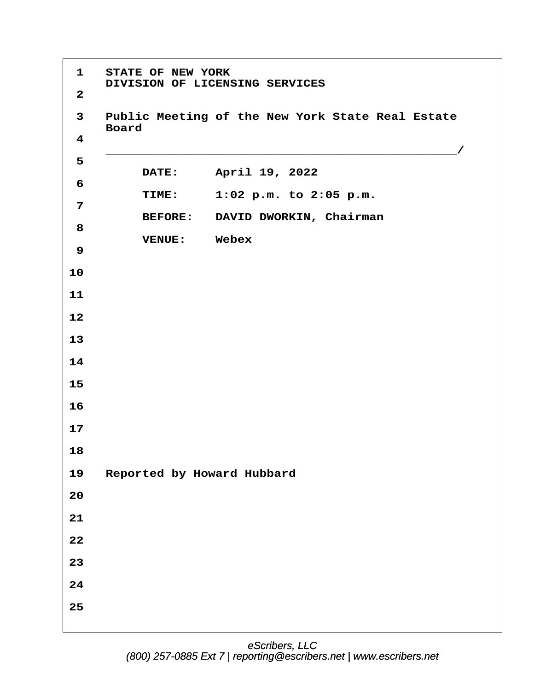**·1· ·STATE OF NEW YORK** DIVISION OF LICENSING SERVICES **·2 ·3· ·Public Meeting of the New York State Real Estate · · ·Board ·4 · · ·\_\_\_\_\_\_\_\_\_\_\_\_\_\_\_\_\_\_\_\_\_\_\_\_\_\_\_\_\_\_\_\_\_\_\_\_\_\_\_\_\_\_\_\_\_\_\_\_/ ·5 DATE: April 19, 2022 ·6 · · · · · TIME:· · ·1:02 p.m. to 2:05 p.m. ·7** BEFORE: DAVID DWORKIN, Chairman **·8 · · · · · VENUE:· · Webex ·9 10 11 12 13 14 15 16 17 18** 19 Reported by Howard Hubbard **20 21 22 23 24 25**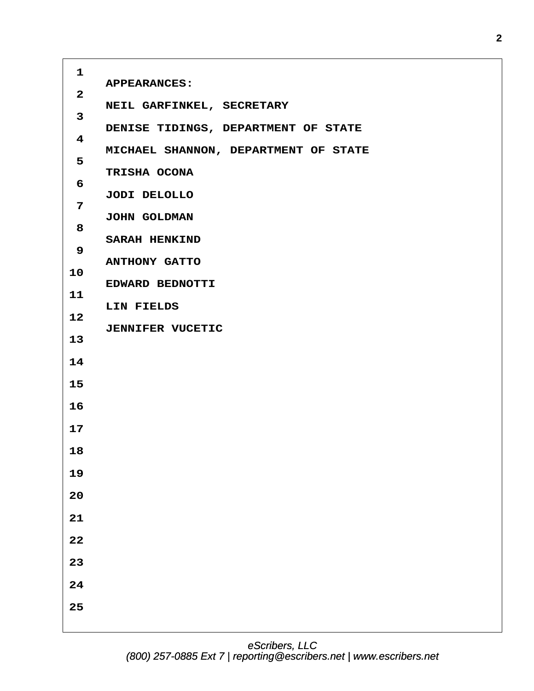| $\mathbf{1}$            |                                      |
|-------------------------|--------------------------------------|
|                         | <b>APPEARANCES:</b>                  |
| $\mathbf{2}$            | NEIL GARFINKEL, SECRETARY            |
| 3                       | DENISE TIDINGS, DEPARTMENT OF STATE  |
| $\overline{\mathbf{4}}$ | MICHAEL SHANNON, DEPARTMENT OF STATE |
| 5                       |                                      |
| 6                       | TRISHA OCONA                         |
| 7                       | JODI DELOLLO                         |
| 8                       | JOHN GOLDMAN                         |
| 9                       | <b>SARAH HENKIND</b>                 |
| 10                      | <b>ANTHONY GATTO</b>                 |
| 11                      | EDWARD BEDNOTTI                      |
|                         | LIN FIELDS                           |
| 12                      | <b>JENNIFER VUCETIC</b>              |
| 13                      |                                      |
| 14                      |                                      |
| 15                      |                                      |
| 16                      |                                      |
| 17                      |                                      |
| 18                      |                                      |
| 19                      |                                      |
| $20$                    |                                      |
| ${\bf 21}$              |                                      |
| ${\bf 22}$              |                                      |
| 23                      |                                      |
| ${\bf 24}$              |                                      |
|                         |                                      |
| 25                      |                                      |
|                         |                                      |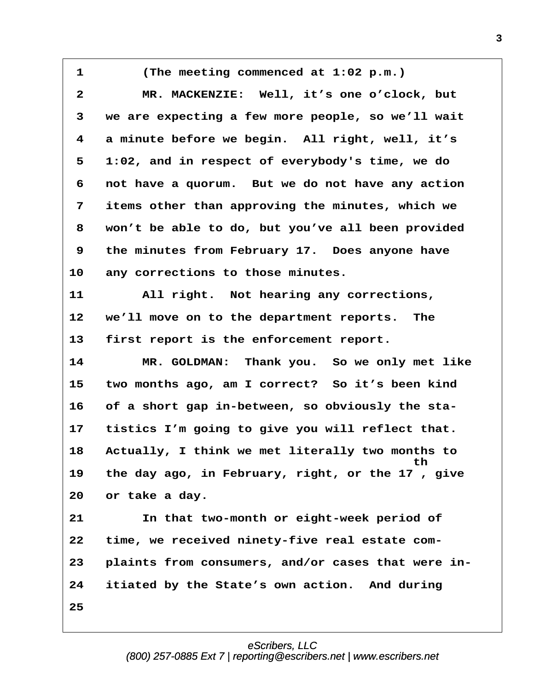**·1· · · · (The meeting commenced at 1:02 p.m.) ·2· · · · MR. MACKENZIE:· Well, it's one o'clock, but ·3· ·we are expecting a few more people, so we'll wait ·4· ·a minute before we begin.· All right, well, it's ·5· ·1:02, and in respect of everybody's time, we do ·6· ·not have a quorum.· But we do not have any action ·7· ·items other than approving the minutes, which we ·8· ·won't be able to do, but you've all been provided ·9· ·the minutes from February 17.· Does anyone have** 10 any corrections to those minutes. 11 **All right.** Not hearing any corrections, 12 we'll move on to the department reports. The 13 first report is the enforcement report. 14 **MR. GOLDMAN:** Thank you. So we only met like **15· ·two months ago, am I correct?· So it's been kind** 16 of a short gap in-between, so obviously the sta-17 tistics I'm going to give you will reflect that. **18· ·Actually, I think we met literally two months to**  $\tt{th}$ **19· ·the day ago, in February, right, or the 17 , give** 20 or take a day. **21· · · · In that two-month or eight-week period of 22· ·time, we received ninety-five real estate com-23· ·plaints from consumers, and/or cases that were in-24· ·itiated by the State's own action.· And during 25**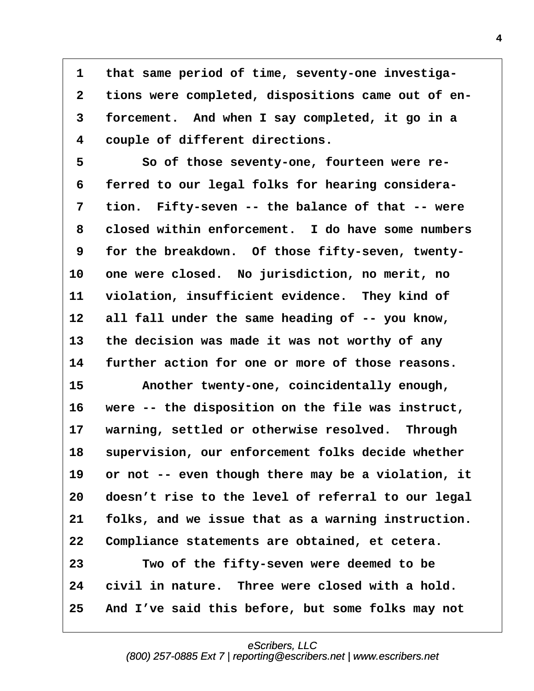**·1· ·that same period of time, seventy-one investiga- ·2· ·tions were completed, dispositions came out of en- ·3· ·forcement.· And when I say completed, it go in a ·4· ·couple of different directions.**

**·5· · · · So of those seventy-one, fourteen were re- ·6· ·ferred to our legal folks for hearing considera-** 7 tion. Fifty-seven -- the balance of that -- were **·8· ·closed within enforcement.· I do have some numbers ·9· ·for the breakdown.· Of those fifty-seven, twenty-**10 one were closed. No jurisdiction, no merit, no 11 violation, insufficient evidence. They kind of **12· ·all fall under the same heading of -- you know, 13· ·the decision was made it was not worthy of any 14· ·further action for one or more of those reasons.** 15 Another twenty-one, coincidentally enough, 16 were -- the disposition on the file was instruct, 17 **warning, settled or otherwise resolved.** Through 18 supervision, our enforcement folks decide whether 19 or not -- even though there may be a violation, it **20· ·doesn't rise to the level of referral to our legal 21· ·folks, and we issue that as a warning instruction. 22· ·Compliance statements are obtained, et cetera. 23· · · · Two of the fifty-seven were deemed to be** 24 civil in nature. Three were closed with a hold. **25· ·And I've said this before, but some folks may not**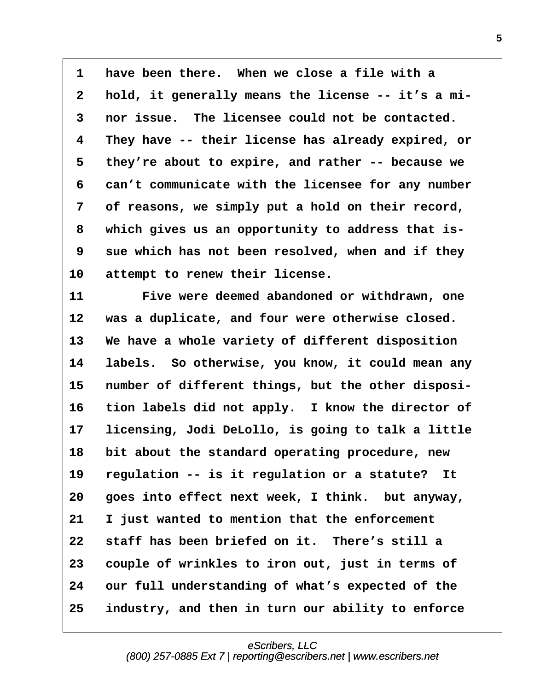**·1· ·have been there.· When we close a file with a ·2· ·hold, it generally means the license -- it's a mi- ·3· ·nor issue.· The licensee could not be contacted. ·4· ·They have -- their license has already expired, or ·5· ·they're about to expire, and rather -- because we ·6· ·can't communicate with the licensee for any number ·7· ·of reasons, we simply put a hold on their record, ·8· ·which gives us an opportunity to address that is- ·9· ·sue which has not been resolved, when and if they** 10 attempt to renew their license.

**11· · · · Five were deemed abandoned or withdrawn, one** 12 was a duplicate, and four were otherwise closed. 13 We have a whole variety of different disposition 14 labels. So otherwise, you know, it could mean any 15 number of different things, but the other disposi-16 tion labels did not apply. I know the director of **17· ·licensing, Jodi DeLollo, is going to talk a little** 18 bit about the standard operating procedure, new 19 regulation -- is it regulation or a statute? It 20 **goes into effect next week, I think.** but anyway, **21· ·I just wanted to mention that the enforcement** 22 staff has been briefed on it. There's still a **23· ·couple of wrinkles to iron out, just in terms of** 24 our full understanding of what's expected of the **25· ·industry, and then in turn our ability to enforce**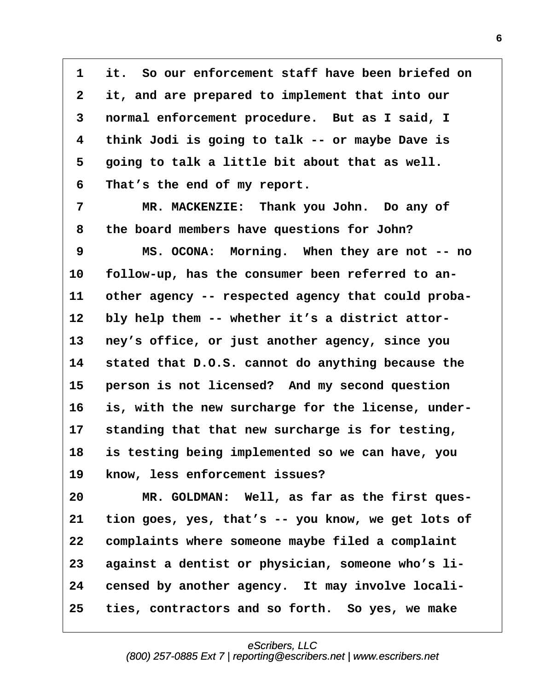**·1· ·it.· So our enforcement staff have been briefed on ·2· ·it, and are prepared to implement that into our ·3· ·normal enforcement procedure.· But as I said, I ·4· ·think Jodi is going to talk -- or maybe Dave is ·5· ·going to talk a little bit about that as well. ·6· ·That's the end of my report.**

7 MR. MACKENZIE: Thank you John. Do any of **·8· ·the board members have questions for John?**

**·9· · · · MS. OCONA:· Morning.· When they are not -- no** 10 follow-up, has the consumer been referred to an-11 other agency -- respected agency that could proba-12 bly help them -- whether it's a district attor-13 ney's office, or just another agency, since you **14· ·stated that D.O.S. cannot do anything because the** 15 **· person is not licensed?** And my second question 16 is, with the new surcharge for the license, under-**17· ·standing that that new surcharge is for testing, 18· ·is testing being implemented so we can have, you** 19 know, less enforcement issues?

20 MR. GOLDMAN: Well, as far as the first ques-**21· ·tion goes, yes, that's -- you know, we get lots of 22· ·complaints where someone maybe filed a complaint** 23 against a dentist or physician, someone who's li-24 censed by another agency. It may involve locali-25 ties, contractors and so forth. So yes, we make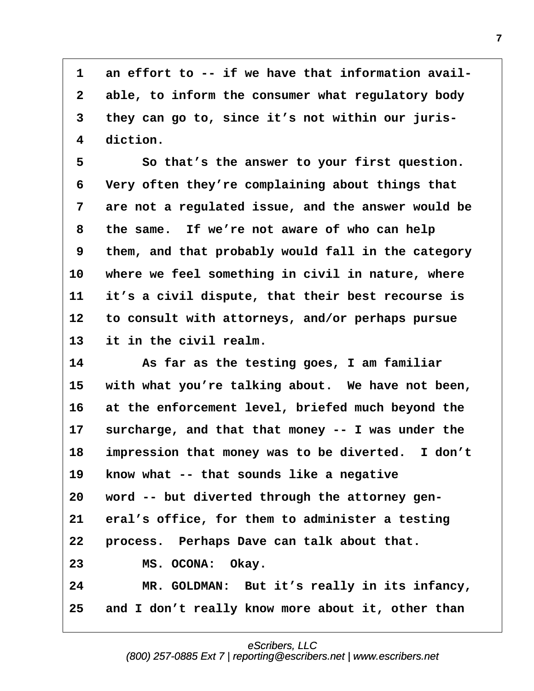1 an effort to -- if we have that information avail-**·2· ·able, to inform the consumer what regulatory body ·3· ·they can go to, since it's not within our juris- ·4· ·diction.**

**·5· · · · So that's the answer to your first question. ·6· ·Very often they're complaining about things that ·7· ·are not a regulated issue, and the answer would be ·8· ·the same.· If we're not aware of who can help ·9· ·them, and that probably would fall in the category** 10 where we feel something in civil in nature, where **11· ·it's a civil dispute, that their best recourse is 12· ·to consult with attorneys, and/or perhaps pursue** 13 it in the civil realm.

**14· · · · As far as the testing goes, I am familiar** 15 with what you're talking about. We have not been, 16 at the enforcement level, briefed much beyond the 17 surcharge, and that that money -- I was under the 18 impression that money was to be diverted. I don't 19 know what -- that sounds like a negative **20· ·word -- but diverted through the attorney gen-**21 eral's office, for them to administer a testing **22· ·process.· Perhaps Dave can talk about that.** 23 **MS. OCONA:** Okay. 24 MR. GOLDMAN: But it's really in its infancy, **25· ·and I don't really know more about it, other than**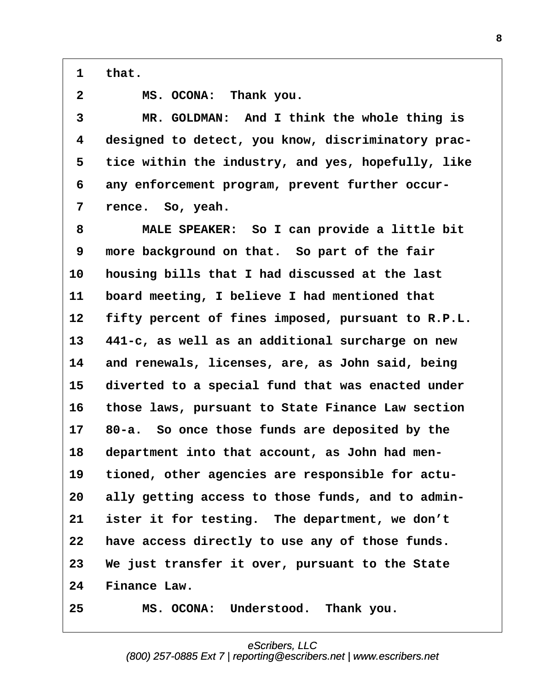**·1· ·that.**

**·2· · · · MS. OCONA:· Thank you.**

**·3· · · · MR. GOLDMAN:· And I think the whole thing is ·4· ·designed to detect, you know, discriminatory prac- ·5· ·tice within the industry, and yes, hopefully, like ·6· ·any enforcement program, prevent further occur-** 7 rence. So, yeah.

**·8· · · · MALE SPEAKER:· So I can provide a little bit ·9· ·more background on that.· So part of the fair 10· ·housing bills that I had discussed at the last 11· ·board meeting, I believe I had mentioned that 12· ·fifty percent of fines imposed, pursuant to R.P.L. 13· ·441-c, as well as an additional surcharge on new 14· ·and renewals, licenses, are, as John said, being** 15 diverted to a special fund that was enacted under **16· ·those laws, pursuant to State Finance Law section 17· ·80-a.· So once those funds are deposited by the 18· ·department into that account, as John had men-**19 tioned, other agencies are responsible for actu-20 ally getting access to those funds, and to admin-**21· ·ister it for testing.· The department, we don't 22· ·have access directly to use any of those funds. 23· ·We just transfer it over, pursuant to the State** 24 Finance Law. **25· · · · MS. OCONA:· Understood.· Thank you.**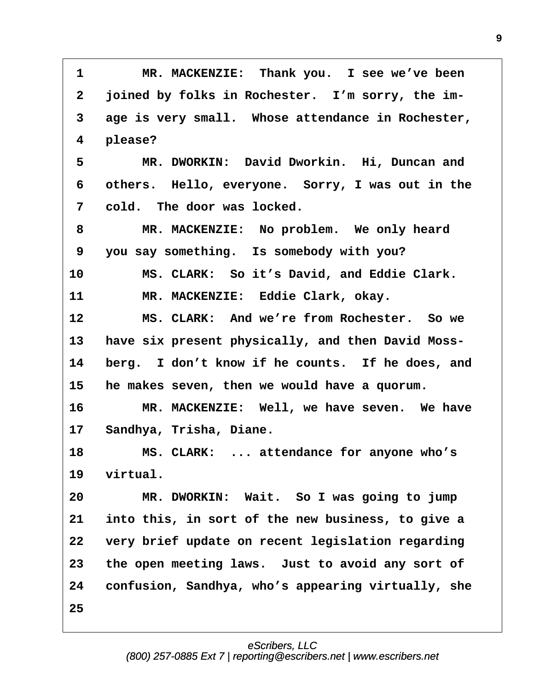**·1· · · · MR. MACKENZIE:· Thank you.· I see we've been ·2· ·joined by folks in Rochester.· I'm sorry, the im- ·3· ·age is very small.· Whose attendance in Rochester, ·4· ·please? ·5· · · · MR. DWORKIN:· David Dworkin.· Hi, Duncan and ·6· ·others.· Hello, everyone.· Sorry, I was out in the ·7· ·cold.· The door was locked. ·8· · · · MR. MACKENZIE:· No problem.· We only heard ·9· ·you say something.· Is somebody with you? 10· · · · MS. CLARK:· So it's David, and Eddie Clark.** 11 **MR. MACKENZIE:** Eddie Clark, okay. **12· · · · MS. CLARK:· And we're from Rochester.· So we** 13 have six present physically, and then David Moss-**14· ·berg.· I don't know if he counts.· If he does, and 15· ·he makes seven, then we would have a quorum. 16· · · · MR. MACKENZIE:· Well, we have seven.· We have 17· ·Sandhya, Trisha, Diane.** 18 MS. CLARK: ... attendance for anyone who's 19 virtual. **20· · · · MR. DWORKIN:· Wait.· So I was going to jump 21· ·into this, in sort of the new business, to give a 22· ·very brief update on recent legislation regarding 23· ·the open meeting laws.· Just to avoid any sort of** 24 confusion, Sandhya, who's appearing virtually, she **25**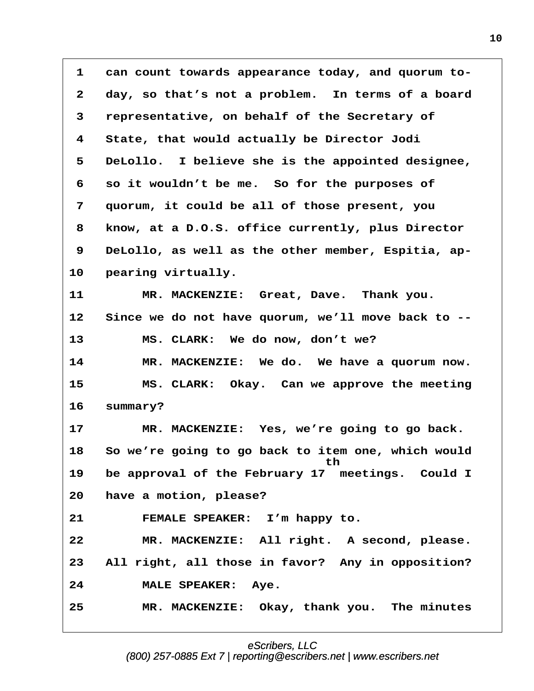**·1· ·can count towards appearance today, and quorum to- ·2· ·day, so that's not a problem.· In terms of a board ·3· ·representative, on behalf of the Secretary of ·4· ·State, that would actually be Director Jodi ·5· ·DeLollo.· I believe she is the appointed designee, ·6· ·so it wouldn't be me.· So for the purposes of ·7· ·quorum, it could be all of those present, you ·8· ·know, at a D.O.S. office currently, plus Director ·9· ·DeLollo, as well as the other member, Espitia, ap-**10 **pearing virtually.** 11 MR. MACKENZIE: Great, Dave. Thank you. **12· ·Since we do not have quorum, we'll move back to --** 13 MS. CLARK: We do now, don't we? 14 **MR. MACKENZIE:** We do. We have a quorum now. 15 **8 · MS. CLARK:** Okay. Can we approve the meeting 16 summary? 17 **MR. MACKENZIE:** Yes, we're going to go back. **18· ·So we're going to go back to item one, which would · · · · · · · · · · · · · · · · · ·th** 19 be approval of the February 17 meetings. Could I **20· ·have a motion, please?** 21 **· FEMALE SPEAKER:** I'm happy to. **22· · · · MR. MACKENZIE:· All right.· A second, please.** 23 All right, all those in favor? Any in opposition? 24 **MALE SPEAKER:** Aye. **25· · · · MR. MACKENZIE:· Okay, thank you.· The minutes**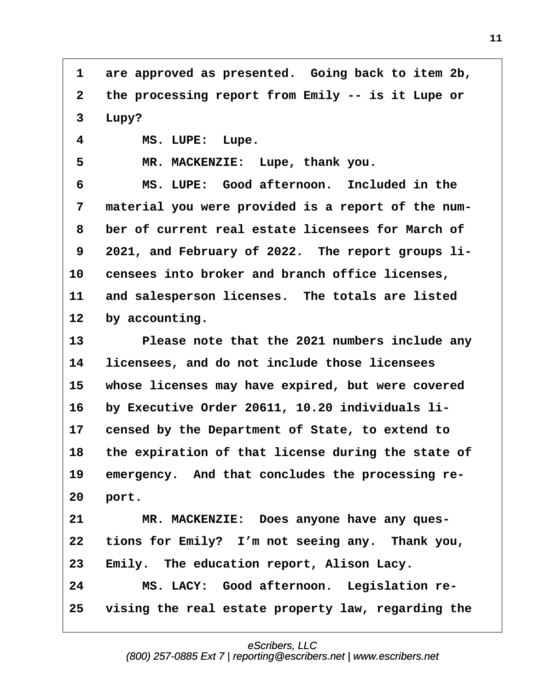1 are approved as presented. Going back to item 2b, **·2· ·the processing report from Emily -- is it Lupe or** 3 Lupy?

**·4· · · · MS. LUPE:· Lupe.**

5 MR. MACKENZIE: Lupe, thank you.

**·6· · · · MS. LUPE:· Good afternoon.· Included in the ·7· ·material you were provided is a report of the num- ·8· ·ber of current real estate licensees for March of** 9 2021, and February of 2022. The report groups li-**10· ·censees into broker and branch office licenses,** 11 and salesperson licenses. The totals are listed 12 by accounting.

13 **· · Please note that the 2021 numbers include any 14· ·licensees, and do not include those licensees** 15 whose licenses may have expired, but were covered 16 by Executive Order 20611, 10.20 individuals li-17 censed by the Department of State, to extend to 18 the expiration of that license during the state of 19 emergency. And that concludes the processing re-**20· ·port.**

21 MR. MACKENZIE: Does anyone have any ques-22 tions for Emily? I'm not seeing any. Thank you, **23· ·Emily.· The education report, Alison Lacy. 24· · · · MS. LACY:· Good afternoon.· Legislation re-25· ·vising the real estate property law, regarding the**

## eScribers, LLC

[\(800\) 257-0885 Ext 7 | reporting@escribers.net | www.escribers.net](http://www.escribers.net)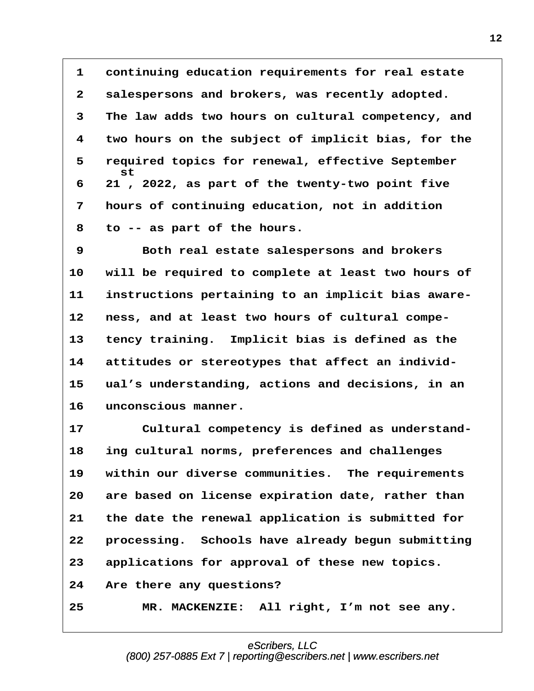1 continuing education requirements for real estate **·2· ·salespersons and brokers, was recently adopted. ·3· ·The law adds two hours on cultural competency, and ·4· ·two hours on the subject of implicit bias, for the ·5· ·required topics for renewal, effective September · · · ·st ·6· ·21 , 2022, as part of the twenty-two point five ·7· ·hours of continuing education, not in addition ·8· ·to -- as part of the hours.**

**·9· · · · Both real estate salespersons and brokers** 10 will be required to complete at least two hours of 11 instructions pertaining to an implicit bias aware-12 ness, and at least two hours of cultural compe-**13· ·tency training.· Implicit bias is defined as the** 14 attitudes or stereotypes that affect an individ-**15· ·ual's understanding, actions and decisions, in an** 16 unconscious manner.

17 Cultural competency is defined as understand-**18· ·ing cultural norms, preferences and challenges 19· ·within our diverse communities.· The requirements 20· ·are based on license expiration date, rather than 21· ·the date the renewal application is submitted for 22· ·processing.· Schools have already begun submitting 23· ·applications for approval of these new topics. 24· ·Are there any questions?** 25 MR. MACKENZIE: All right, I'm not see any.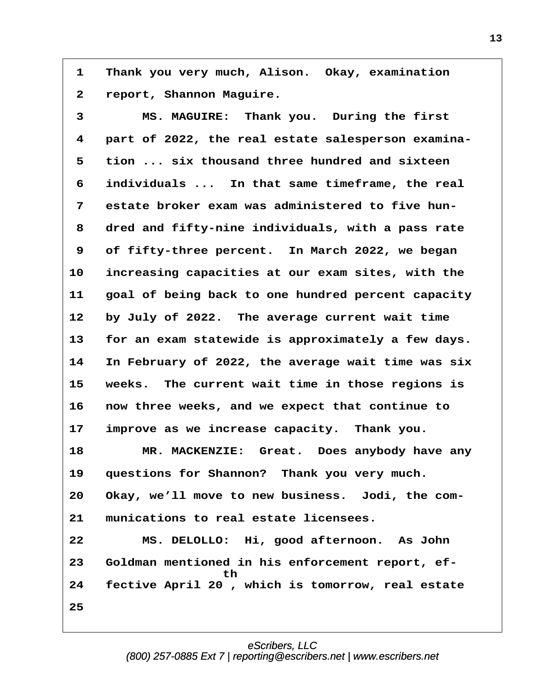1 Thank you very much, Alison. Okay, examination **·2· ·report, Shannon Maguire.**

**·3· · · · MS. MAGUIRE:· Thank you.· During the first ·4· ·part of 2022, the real estate salesperson examina- ·5· ·tion ... six thousand three hundred and sixteen ·6· ·individuals ...· In that same timeframe, the real ·7· ·estate broker exam was administered to five hun- ·8· ·dred and fifty-nine individuals, with a pass rate ·9· ·of fifty-three percent.· In March 2022, we began** 10 increasing capacities at our exam sites, with the **11· ·goal of being back to one hundred percent capacity** 12 by July of 2022. The average current wait time **13· ·for an exam statewide is approximately a few days. 14· ·In February of 2022, the average wait time was six 15· ·weeks.· The current wait time in those regions is 16· ·now three weeks, and we expect that continue to** 17 improve as we increase capacity. Thank you. 18 **\* \* \* \* \* \* \* MACKENZIE:** Great. Does anybody have any 19 questions for Shannon? Thank you very much. **20· ·Okay, we'll move to new business.· Jodi, the com-21· ·munications to real estate licensees. 22· · · · MS. DELOLLO:· Hi, good afternoon.· As John 23· ·Goldman mentioned in his enforcement report, ef- · · · · · · · · · · ·th** 24 fective April 20, which is tomorrow, real estate **25**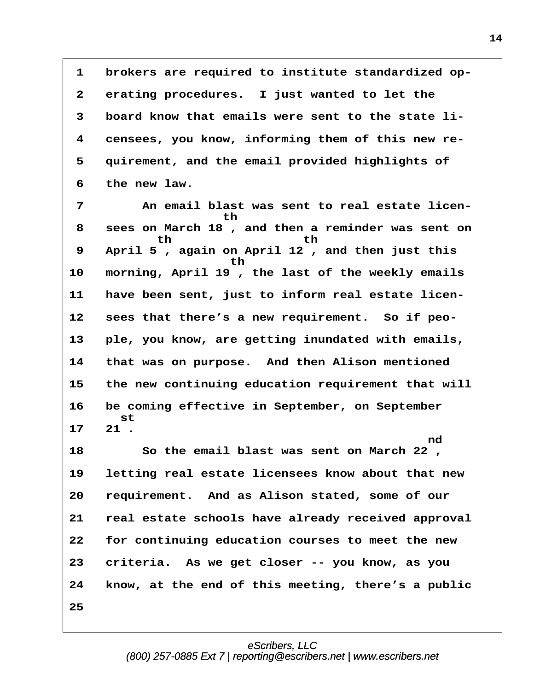**·1· ·brokers are required to institute standardized op- ·2· ·erating procedures.· I just wanted to let the ·3· ·board know that emails were sent to the state li- ·4· ·censees, you know, informing them of this new re- ·5· ·quirement, and the email provided highlights of ·6· ·the new law.**

**·7· · · · An email blast was sent to real estate licen- · · · · · · · · · · ·th ·8· ·sees on March 18 , and then a reminder was sent on · · · · · · th· · · · · · · · · th ·9· ·April 5 , again on April 12 , and then just this · · · · · · · · · · · th** 10 morning, April 19, the last of the weekly emails 11 have been sent, just to inform real estate licen-12 sees that there's a new requirement. So if peo-**13· ·ple, you know, are getting inundated with emails, 14· ·that was on purpose.· And then Alison mentioned 15· ·the new continuing education requirement that will 16· ·be coming effective in September, on September · · · ·st 17· ·21 .**  $\mathbf{nd}$ **18· · · · So the email blast was sent on March 22 , 19· ·letting real estate licensees know about that new 20· ·requirement.· And as Alison stated, some of our 21· ·real estate schools have already received approval 22· ·for continuing education courses to meet the new 23· ·criteria.· As we get closer -- you know, as you 24· ·know, at the end of this meeting, there's a public 25**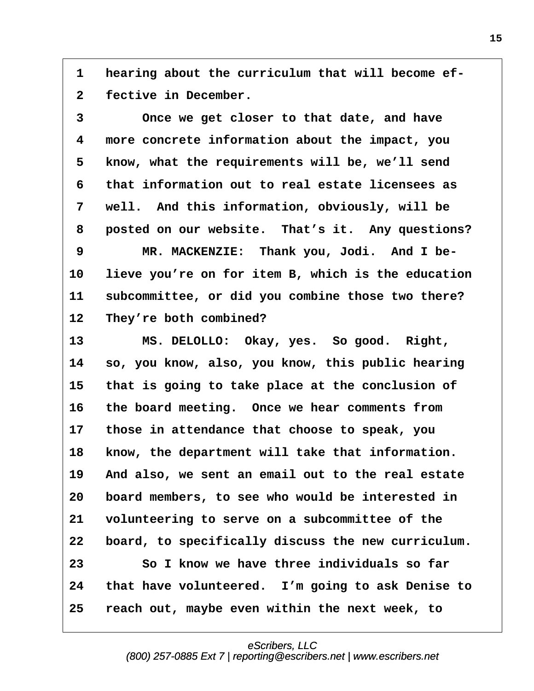**·1· ·hearing about the curriculum that will become ef- ·2· ·fective in December.**

**·3· · · · Once we get closer to that date, and have ·4· ·more concrete information about the impact, you ·5· ·know, what the requirements will be, we'll send ·6· ·that information out to real estate licensees as ·7· ·well.· And this information, obviously, will be ·8· ·posted on our website.· That's it.· Any questions? ·9· · · · MR. MACKENZIE:· Thank you, Jodi.· And I be-**10 lieve you're on for item B, which is the education **11· ·subcommittee, or did you combine those two there?** 12 They're both combined? 13 MS. DELOLLO: Okay, yes. So good. Right, **14· ·so, you know, also, you know, this public hearing 15· ·that is going to take place at the conclusion of 16· ·the board meeting.· Once we hear comments from**

**17· ·those in attendance that choose to speak, you** 18 know, the department will take that information. 19 And also, we sent an email out to the real estate **20· ·board members, to see who would be interested in 21· ·volunteering to serve on a subcommittee of the 22· ·board, to specifically discuss the new curriculum. 23· · · · So I know we have three individuals so far 24· ·that have volunteered.· I'm going to ask Denise to 25· ·reach out, maybe even within the next week, to**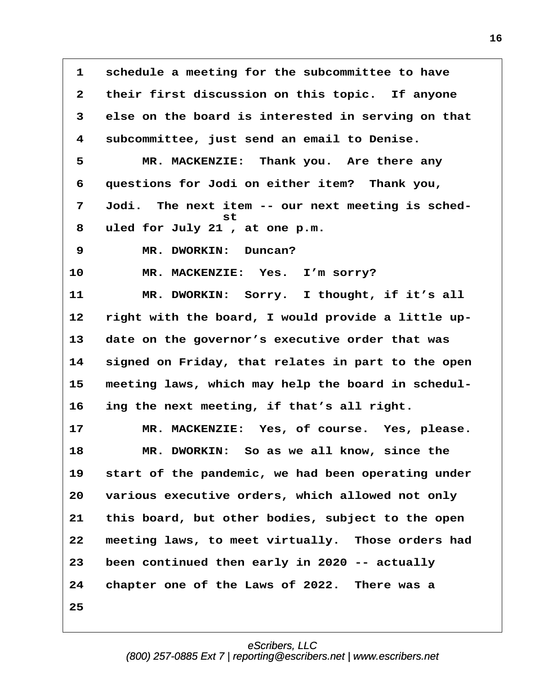**·1· ·schedule a meeting for the subcommittee to have ·2· ·their first discussion on this topic.· If anyone ·3· ·else on the board is interested in serving on that ·4· ·subcommittee, just send an email to Denise. ·5· · · · MR. MACKENZIE:· Thank you.· Are there any ·6· ·questions for Jodi on either item?· Thank you, ·7· ·Jodi.· The next item -- our next meeting is sched- · · · · · · · · · · ·st ·8· ·uled for July 21 , at one p.m. 9 · · MR. DWORKIN:** Duncan? 10 MR. MACKENZIE: Yes. I'm sorry? 11 **MR. DWORKIN:** Sorry. I thought, if it's all 12 right with the board, I would provide a little up-**13· ·date on the governor's executive order that was 14· ·signed on Friday, that relates in part to the open** 15 meeting laws, which may help the board in schedul-**16· ·ing the next meeting, if that's all right.** 17 **MR. MACKENZIE:** Yes, of course. Yes, please. 18 **MR. DWORKIN:** So as we all know, since the 19 start of the pandemic, we had been operating under **20· ·various executive orders, which allowed not only 21· ·this board, but other bodies, subject to the open 22· ·meeting laws, to meet virtually.· Those orders had 23· ·been continued then early in 2020 -- actually 24· ·chapter one of the Laws of 2022.· There was a 25**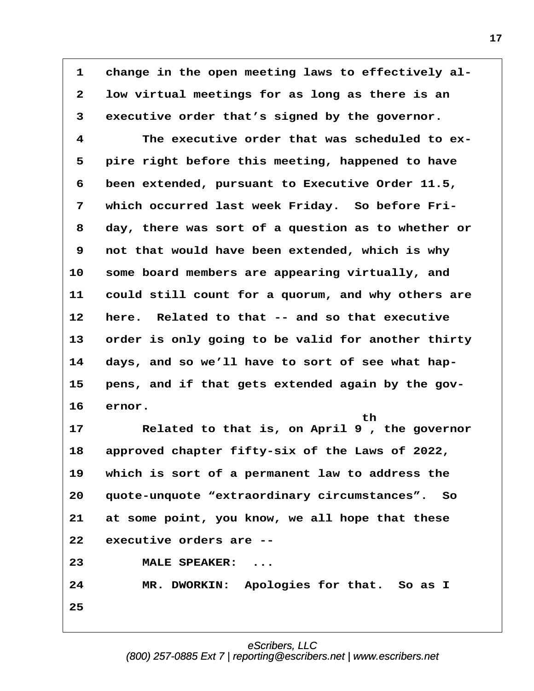1 change in the open meeting laws to effectively al-**·2· ·low virtual meetings for as long as there is an ·3· ·executive order that's signed by the governor. ·4· · · · The executive order that was scheduled to ex- ·5· ·pire right before this meeting, happened to have ·6· ·been extended, pursuant to Executive Order 11.5,** 7 which occurred last week Friday. So before Fri-**·8· ·day, there was sort of a question as to whether or ·9· ·not that would have been extended, which is why** 10 some board members are appearing virtually, and **11· ·could still count for a quorum, and why others are 12· ·here.· Related to that -- and so that executive 13· ·order is only going to be valid for another thirty** 14 days, and so we'll have to sort of see what hap-15 pens, and if that gets extended again by the gov-16 ernor. **· · · · · · · · · · · · · · · · · · · · th 17· · · · Related to that is, on April 9 , the governor 18· ·approved chapter fifty-six of the Laws of 2022, 19· ·which is sort of a permanent law to address the 20· ·quote-unquote "extraordinary circumstances".· So 21· ·at some point, you know, we all hope that these 22· ·executive orders are --** 23 MALE SPEAKER: ... **24· · · · MR. DWORKIN:· Apologies for that.· So as I 25**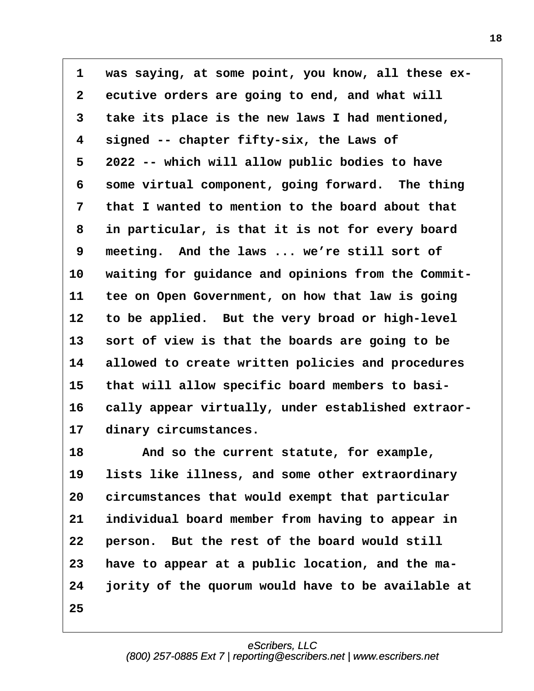**·1· ·was saying, at some point, you know, all these ex- ·2· ·ecutive orders are going to end, and what will ·3· ·take its place is the new laws I had mentioned, ·4· ·signed -- chapter fifty-six, the Laws of ·5· ·2022 -- which will allow public bodies to have ·6· ·some virtual component, going forward.· The thing ·7· ·that I wanted to mention to the board about that ·8· ·in particular, is that it is not for every board ·9· ·meeting.· And the laws ... we're still sort of** 10 waiting for guidance and opinions from the Commit-**11· ·tee on Open Government, on how that law is going** 12 to be applied. But the very broad or high-level 13 sort of view is that the boards are going to be 14 allowed to create written policies and procedures 15 that will allow specific board members to basi-16 cally appear virtually, under established extraor-17 dinary circumstances.

**18· · · · And so the current statute, for example,** 19 lists like illness, and some other extraordinary 20 circumstances that would exempt that particular **21· ·individual board member from having to appear in 22· ·person.· But the rest of the board would still 23· ·have to appear at a public location, and the ma-24· ·jority of the quorum would have to be available at 25**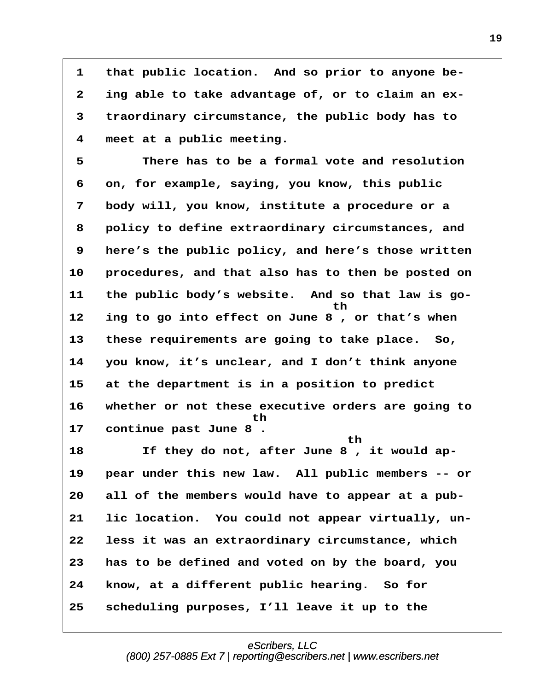1 that public location. And so prior to anyone be-**·2· ·ing able to take advantage of, or to claim an ex- ·3· ·traordinary circumstance, the public body has to ·4· ·meet at a public meeting.**

**·5· · · · There has to be a formal vote and resolution ·6· ·on, for example, saying, you know, this public ·7· ·body will, you know, institute a procedure or a ·8· ·policy to define extraordinary circumstances, and ·9· ·here's the public policy, and here's those written** 10 **procedures, and that also has to then be posted on 11· ·the public body's website.· And so that law is go- · · · · · · · · · · · · · · · · · · th 12· ·ing to go into effect on June 8 , or that's when** 13 these requirements are going to take place. So, **14· ·you know, it's unclear, and I don't think anyone 15· ·at the department is in a position to predict 16· ·whether or not these executive orders are going to · · · · · · · · · · · · ·th 17· ·continue past June 8 . · · · · · · · · · · · · · · · · · · · th** 18 **18** If they do not, after June 8, it would ap-**19· ·pear under this new law.· All public members -- or 20· ·all of the members would have to appear at a pub-21· ·lic location.· You could not appear virtually, un-22· ·less it was an extraordinary circumstance, which 23· ·has to be defined and voted on by the board, you** 24 know, at a different public hearing. So for **25· ·scheduling purposes, I'll leave it up to the**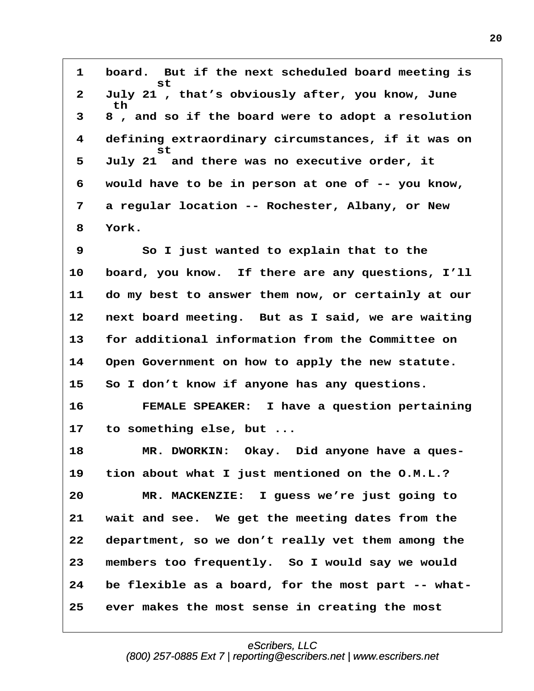**·1· ·board.· But if the next scheduled board meeting is · · · · · · st ·2· ·July 21 , that's obviously after, you know, June · · · th ·3· ·8 , and so if the board were to adopt a resolution ·4· ·defining extraordinary circumstances, if it was on · · · · · · st ·5· ·July 21· and there was no executive order, it ·6· ·would have to be in person at one of -- you know, ·7· ·a regular location -- Rochester, Albany, or New ·8· ·York.**

**·9· · · · So I just wanted to explain that to the** 10 board, you know. If there are any questions, I'll **11· ·do my best to answer them now, or certainly at our** 12 next board meeting. But as I said, we are waiting **13· ·for additional information from the Committee on 14· ·Open Government on how to apply the new statute. 15· ·So I don't know if anyone has any questions. 16· · · · FEMALE SPEAKER:· I have a question pertaining**

**17· ·to something else, but ...**

18 MR. DWORKIN: Okay. Did anyone have a ques-**19· ·tion about what I just mentioned on the O.M.L.? 20· · · · MR. MACKENZIE:· I guess we're just going to 21· ·wait and see.· We get the meeting dates from the 22· ·department, so we don't really vet them among the 23· ·members too frequently.· So I would say we would** 24 be flexible as a board, for the most part -- what-**25· ·ever makes the most sense in creating the most**

> eScribers, LLC [\(800\) 257-0885 Ext 7 | reporting@escribers.net | www.escribers.net](http://www.escribers.net)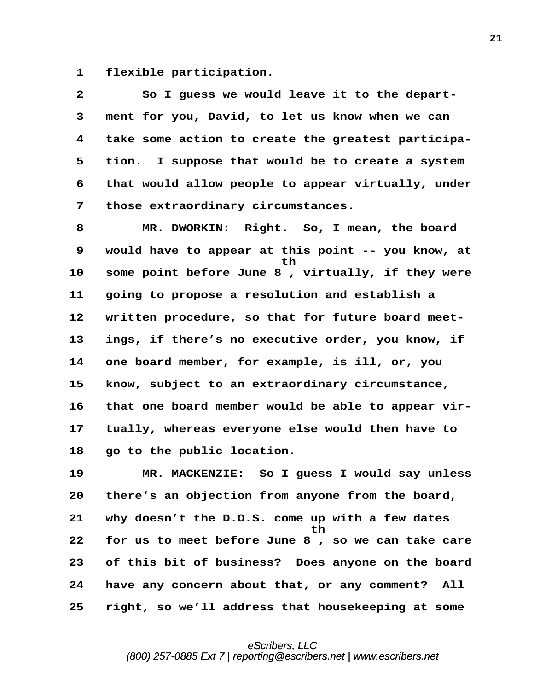1 **flexible participation.** 

**·2· · · · So I guess we would leave it to the depart- ·3· ·ment for you, David, to let us know when we can ·4· ·take some action to create the greatest participa- ·5· ·tion.· I suppose that would be to create a system ·6· ·that would allow people to appear virtually, under ·7· ·those extraordinary circumstances.**

**·8· · · · MR. DWORKIN:· Right.· So, I mean, the board ·9· ·would have to appear at this point -- you know, at · · · · · · · · · · · · · · ·th** 10 some point before June 8, virtually, if they were **11· ·going to propose a resolution and establish a** 12 written procedure, so that for future board meet-13 ings, if there's no executive order, you know, if **14· ·one board member, for example, is ill, or, you 15· ·know, subject to an extraordinary circumstance,** 16 that one board member would be able to appear vir-**17· ·tually, whereas everyone else would then have to** 18 **go to the public location.** 

**19· · · · MR. MACKENZIE:· So I guess I would say unless 20· ·there's an objection from anyone from the board, 21· ·why doesn't the D.O.S. come up with a few dates · · · · · · · · · · · · · · · · ·th 22· ·for us to meet before June 8 , so we can take care 23· ·of this bit of business?· Does anyone on the board** 24 have any concern about that, or any comment? All **25· ·right, so we'll address that housekeeping at some**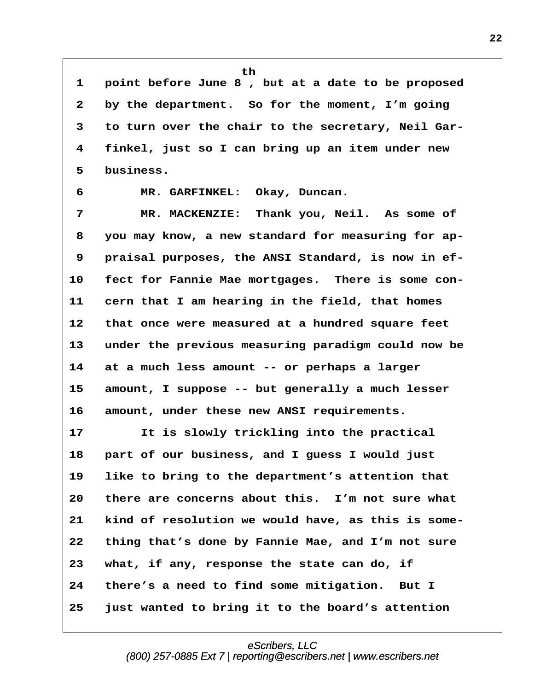**· · · · · · · · · · · · th ·1· ·point before June 8 , but at a date to be proposed ·2· ·by the department.· So for the moment, I'm going ·3· ·to turn over the chair to the secretary, Neil Gar- ·4· ·finkel, just so I can bring up an item under new ·5· ·business. ·6· · · · MR. GARFINKEL:· Okay, Duncan.**

**·7· · · · MR. MACKENZIE:· Thank you, Neil.· As some of ·8· ·you may know, a new standard for measuring for ap- ·9· ·praisal purposes, the ANSI Standard, is now in ef-**10 fect for Fannie Mae mortgages. There is some con-11 cern that I am hearing in the field, that homes **12· ·that once were measured at a hundred square feet 13· ·under the previous measuring paradigm could now be 14· ·at a much less amount -- or perhaps a larger 15· ·amount, I suppose -- but generally a much lesser 16· ·amount, under these new ANSI requirements.**

**17· · · · It is slowly trickling into the practical 18· ·part of our business, and I guess I would just 19· ·like to bring to the department's attention that 20· ·there are concerns about this.· I'm not sure what 21· ·kind of resolution we would have, as this is some-22· ·thing that's done by Fannie Mae, and I'm not sure 23· ·what, if any, response the state can do, if 24· ·there's a need to find some mitigation.· But I 25· ·just wanted to bring it to the board's attention**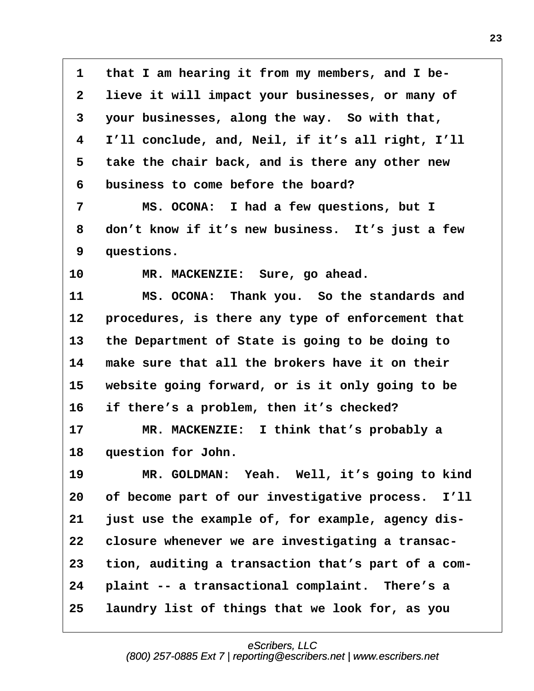**·1· ·that I am hearing it from my members, and I be- ·2· ·lieve it will impact your businesses, or many of ·3· ·your businesses, along the way.· So with that, ·4· ·I'll conclude, and, Neil, if it's all right, I'll ·5· ·take the chair back, and is there any other new ·6· ·business to come before the board? ·7· · · · MS. OCONA:· I had a few questions, but I ·8· ·don't know if it's new business.· It's just a few ·9· ·questions.** 10 MR. MACKENZIE: Sure, go ahead. **11· · · · MS. OCONA:· Thank you.· So the standards and** 12 **procedures, is there any type of enforcement that 13· ·the Department of State is going to be doing to 14· ·make sure that all the brokers have it on their** 15 website going forward, or is it only going to be **16· ·if there's a problem, then it's checked? 17· · · · MR. MACKENZIE:· I think that's probably a** 18 **question for John.** 19 MR. GOLDMAN: Yeah. Well, it's going to kind **20· ·of become part of our investigative process.· I'll** 21 **just use the example of, for example, agency dis-22· ·closure whenever we are investigating a transac-23· ·tion, auditing a transaction that's part of a com-**24 plaint -- a transactional complaint. There's a **25· ·laundry list of things that we look for, as you**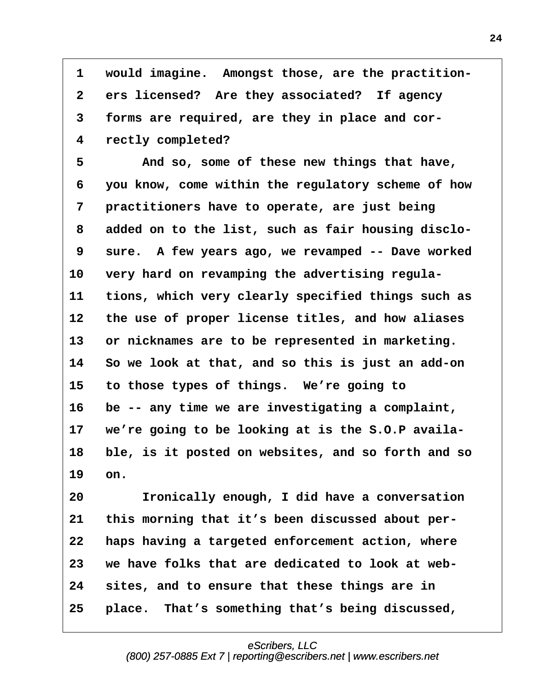**·1· ·would imagine.· Amongst those, are the practition- ·2· ·ers licensed?· Are they associated?· If agency ·3· ·forms are required, are they in place and cor- ·4· ·rectly completed?**

**·5· · · · And so, some of these new things that have, ·6· ·you know, come within the regulatory scheme of how ·7· ·practitioners have to operate, are just being ·8· ·added on to the list, such as fair housing disclo- ·9· ·sure.· A few years ago, we revamped -- Dave worked** 10 very hard on revamping the advertising regula-**11· ·tions, which very clearly specified things such as** 12 the use of proper license titles, and how aliases 13 or nicknames are to be represented in marketing. **14· ·So we look at that, and so this is just an add-on 15· ·to those types of things.· We're going to** 16 be -- any time we are investigating a complaint, 17 we're going to be looking at is the S.O.P availa-**18· ·ble, is it posted on websites, and so forth and so** 19 on.

**20· · · · Ironically enough, I did have a conversation** 21 this morning that it's been discussed about per-**22· ·haps having a targeted enforcement action, where 23· ·we have folks that are dedicated to look at web-24· ·sites, and to ensure that these things are in** 25 **place.** That's something that's being discussed,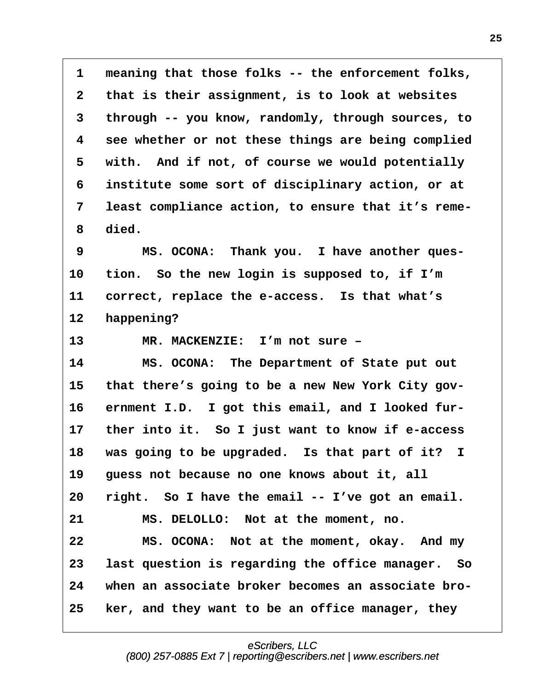**·1· ·meaning that those folks -- the enforcement folks, ·2· ·that is their assignment, is to look at websites ·3· ·through -- you know, randomly, through sources, to ·4· ·see whether or not these things are being complied** 5 with. And if not, of course we would potentially **·6· ·institute some sort of disciplinary action, or at ·7· ·least compliance action, to ensure that it's reme- ·8· ·died.**

9 MS. OCONA: Thank you. I have another ques-**10· ·tion.· So the new login is supposed to, if I'm** 11 correct, replace the e-access. Is that what's 12 happening?

13 MR. MACKENZIE: I'm not sure -

**14· · · · MS. OCONA:· The Department of State put out** 15 that there's going to be a new New York City gov-16 ernment I.D. I got this email, and I looked fur-17 ther into it. So I just want to know if e-access **18· ·was going to be upgraded.· Is that part of it? I 19· ·guess not because no one knows about it, all** 20 right. So I have the email -- I've got an email. **21· · · · MS. DELOLLO:· Not at the moment, no.** 22 MS. OCONA: Not at the moment, okay. And my **23· ·last question is regarding the office manager.· So 24· ·when an associate broker becomes an associate bro-25· ·ker, and they want to be an office manager, they**

eScribers, LLC

[\(800\) 257-0885 Ext 7 | reporting@escribers.net | www.escribers.net](http://www.escribers.net)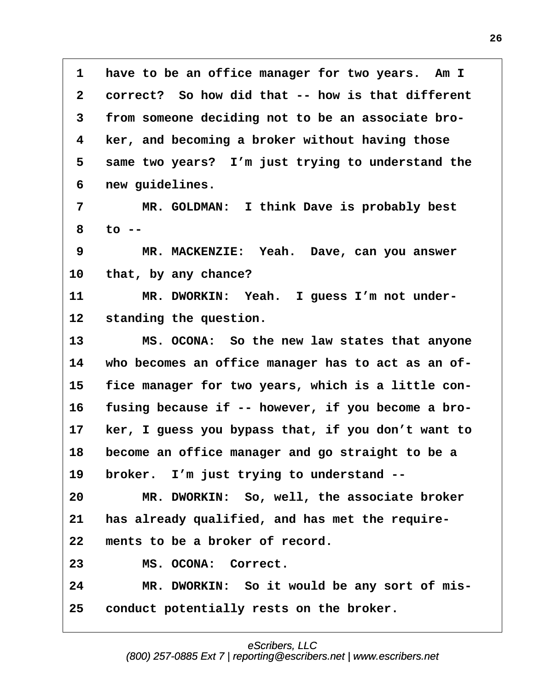1 have to be an office manager for two years. Am I **·2· ·correct?· So how did that -- how is that different ·3· ·from someone deciding not to be an associate bro- ·4· ·ker, and becoming a broker without having those** 5 same two years? I'm just trying to understand the **·6· ·new guidelines.**

**·7· · · · MR. GOLDMAN:· I think Dave is probably best ·8· ·to --**

**·9· · · · MR. MACKENZIE:· Yeah.· Dave, can you answer** 10 that, by any chance?

11 MR. DWORKIN: Yeah. I guess I'm not under-12 standing the question.

13 MS. OCONA: So the new law states that anyone 14 who becomes an office manager has to act as an of-15 fice manager for two years, which is a little con-16 fusing because if -- however, if you become a bro-17 **ker, I guess you bypass that, if you don't want to 18· ·become an office manager and go straight to be a** 19 broker. I'm just trying to understand --20 MR. DWORKIN: So, well, the associate broker 21 has already qualified, and has met the require-22 ments to be a broker of record. 23 MS. OCONA: Correct. 24 MR. DWORKIN: So it would be any sort of mis-

**25· ·conduct potentially rests on the broker.**

## eScribers, LLC [\(800\) 257-0885 Ext 7 | reporting@escribers.net | www.escribers.net](http://www.escribers.net)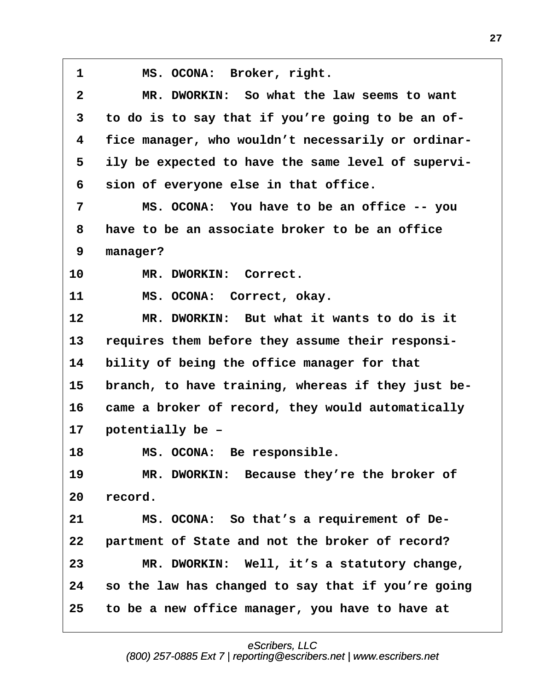1 **MS. OCONA:** Broker, right. **·2· · · · MR. DWORKIN:· So what the law seems to want ·3· ·to do is to say that if you're going to be an of- ·4· ·fice manager, who wouldn't necessarily or ordinar- ·5· ·ily be expected to have the same level of supervi- ·6· ·sion of everyone else in that office. ·7· · · · MS. OCONA:· You have to be an office -- you ·8· ·have to be an associate broker to be an office ·9· ·manager?** 10 MR. DWORKIN: Correct. 11 MS. OCONA: Correct, okay. **12· · · · MR. DWORKIN:· But what it wants to do is it** 13 requires them before they assume their responsi-**14· ·bility of being the office manager for that** 15 branch, to have training, whereas if they just be-16 came a broker of record, they would automatically 17 potentially be -18 MS. OCONA: Be responsible. 19 MR. DWORKIN: Because they're the broker of 20 record. 21 MS. OCONA: So that's a requirement of De-22 **· partment of State and not the broker of record? 23· · · · MR. DWORKIN:· Well, it's a statutory change, 24· ·so the law has changed to say that if you're going 25· ·to be a new office manager, you have to have at**

> eScribers, LLC [\(800\) 257-0885 Ext 7 | reporting@escribers.net | www.escribers.net](http://www.escribers.net)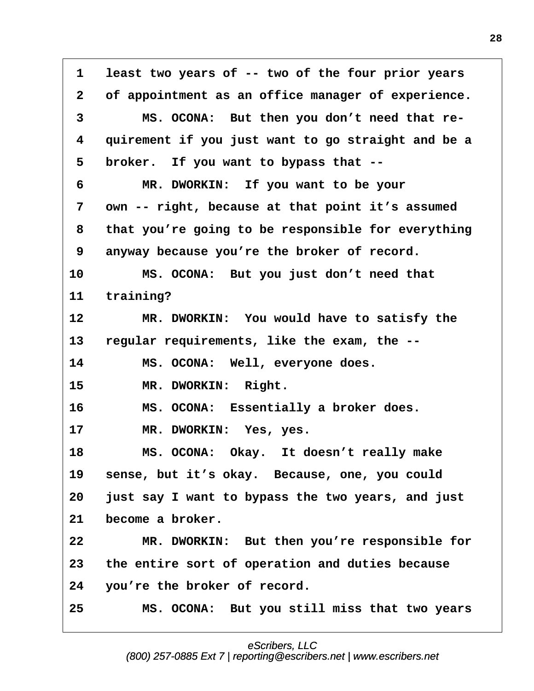**·1· ·least two years of -- two of the four prior years ·2· ·of appointment as an office manager of experience. ·3· · · · MS. OCONA:· But then you don't need that re- ·4· ·quirement if you just want to go straight and be a** 5 broker. If you want to bypass that --**·6· · · · MR. DWORKIN:· If you want to be your ·7· ·own -- right, because at that point it's assumed ·8· ·that you're going to be responsible for everything ·9· ·anyway because you're the broker of record. 10· · · · MS. OCONA:· But you just don't need that** 11 training? 12 MR. DWORKIN: You would have to satisfy the **13· ·regular requirements, like the exam, the --** 14 MS. OCONA: Well, everyone does. 15 MR. DWORKIN: Right. **16· · · · MS. OCONA:· Essentially a broker does.** 17 MR. DWORKIN: Yes, yes. **18· · · · MS. OCONA:· Okay.· It doesn't really make** 19 sense, but it's okay. Because, one, you could **20· ·just say I want to bypass the two years, and just** 21 become a broker. 22 MR. DWORKIN: But then you're responsible for **23· ·the entire sort of operation and duties because 24· ·you're the broker of record. 25· · · · MS. OCONA:· But you still miss that two years**

## eScribers, LLC

[\(800\) 257-0885 Ext 7 | reporting@escribers.net | www.escribers.net](http://www.escribers.net)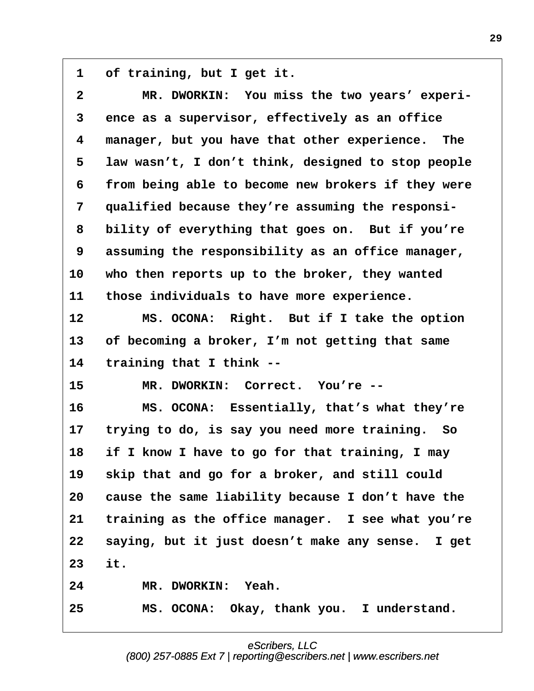1 of training, but I get it.

| $\mathbf{2}$ | MR. DWORKIN: You miss the two years' experi-       |
|--------------|----------------------------------------------------|
| $\mathbf{3}$ | ence as a supervisor, effectively as an office     |
| 4            | manager, but you have that other experience. The   |
| 5            | law wasn't, I don't think, designed to stop people |
| 6            | from being able to become new brokers if they were |
| 7            | qualified because they're assuming the responsi-   |
| 8            | bility of everything that goes on. But if you're   |
| 9            | assuming the responsibility as an office manager,  |
| 10           | who then reports up to the broker, they wanted     |
| 11           | those individuals to have more experience.         |
| 12           | MS. OCONA: Right. But if I take the option         |
| 13           | of becoming a broker, I'm not getting that same    |
| 14           | training that I think --                           |
| 15           | MR. DWORKIN: Correct. You're --                    |
| 16           | MS. OCONA: Essentially, that's what they're        |
| 17           | trying to do, is say you need more training. So    |
| 18           | if I know I have to go for that training, I may    |
| 19           | skip that and go for a broker, and still could     |
| 20           | cause the same liability because I don't have the  |
| 21           | training as the office manager. I see what you're  |
| 22           | saying, but it just doesn't make any sense. I get  |
| 23           | it.                                                |
| 24           | MR. DWORKIN: Yeah.                                 |
| 25           | MS. OCONA: Okay, thank you. I understand.          |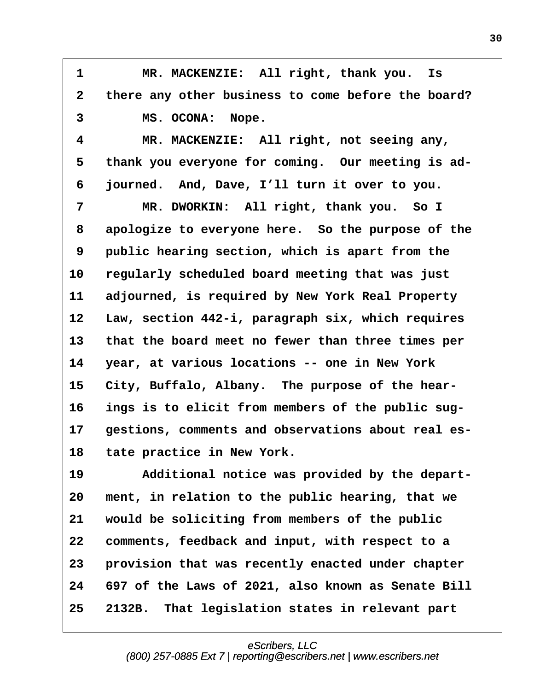1 MR. MACKENZIE: All right, thank you. Is **·2· ·there any other business to come before the board?** 3 MS. OCONA: Nope.

**·4· · · · MR. MACKENZIE:· All right, not seeing any,** 5 thank you everyone for coming. Our meeting is ad-**·6· ·journed.· And, Dave, I'll turn it over to you.** 7 MR. DWORKIN: All right, thank you. So I **·8· ·apologize to everyone here.· So the purpose of the ·9· ·public hearing section, which is apart from the 10· ·regularly scheduled board meeting that was just 11· ·adjourned, is required by New York Real Property** 12 Law, section 442-i, paragraph six, which requires 13 that the board meet no fewer than three times per **14· ·year, at various locations -- one in New York** 15 City, Buffalo, Albany. The purpose of the hear-16 ings is to elicit from members of the public sug-17 gestions, comments and observations about real es-18 tate practice in New York.

19 · **Additional notice was provided by the depart-**20 ment, in relation to the public hearing, that we 21 would be soliciting from members of the public **22· ·comments, feedback and input, with respect to a 23· ·provision that was recently enacted under chapter 24· ·697 of the Laws of 2021, also known as Senate Bill 25· ·2132B.· That legislation states in relevant part**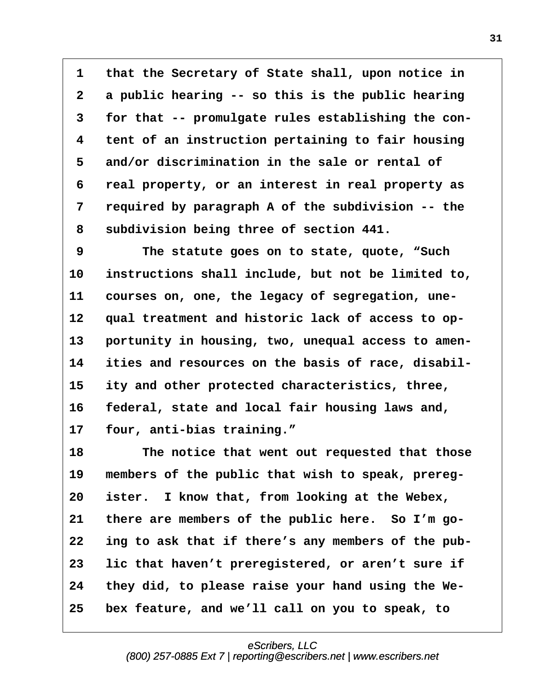**·1· ·that the Secretary of State shall, upon notice in ·2· ·a public hearing -- so this is the public hearing ·3· ·for that -- promulgate rules establishing the con- ·4· ·tent of an instruction pertaining to fair housing ·5· ·and/or discrimination in the sale or rental of ·6· ·real property, or an interest in real property as ·7· ·required by paragraph A of the subdivision -- the ·8· ·subdivision being three of section 441.**

**·9· · · · The statute goes on to state, quote, "Such** 10 instructions shall include, but not be limited to, 11 courses on, one, the legacy of segregation, une-12 qual treatment and historic lack of access to op-13 portunity in housing, two, unequal access to amen-14 ities and resources on the basis of race, disabil-**15· ·ity and other protected characteristics, three,** 16 federal, state and local fair housing laws and, **17· ·four, anti-bias training."**

18 The notice that went out requested that those 19 members of the public that wish to speak, prereg-**20· ·ister.· I know that, from looking at the Webex,** 21 there are members of the public here. So I'm go-22 ing to ask that if there's any members of the pub-**23· ·lic that haven't preregistered, or aren't sure if 24· ·they did, to please raise your hand using the We-25· ·bex feature, and we'll call on you to speak, to**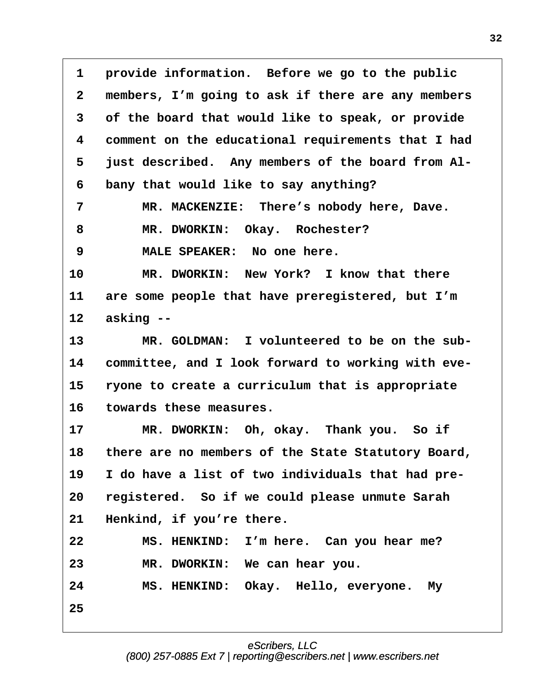1 **provide information.** Before we go to the public **·2· ·members, I'm going to ask if there are any members ·3· ·of the board that would like to speak, or provide ·4· ·comment on the educational requirements that I had ·5· ·just described.· Any members of the board from Al- ·6· ·bany that would like to say anything? ·7· · · · MR. MACKENZIE:· There's nobody here, Dave.** 8 MR. DWORKIN: Okay. Rochester? **·9· · · · MALE SPEAKER:· No one here. 10· · · · MR. DWORKIN:· New York?· I know that there** 11 are some people that have preregistered, but I'm **12· ·asking --** 13 MR. GOLDMAN: I volunteered to be on the sub-**14· ·committee, and I look forward to working with eve-**15 **ryone to create a curriculum that is appropriate 16· ·towards these measures. 17· · · · MR. DWORKIN:· Oh, okay.· Thank you.· So if** 18 there are no members of the State Statutory Board, 19 I do have a list of two individuals that had pre-**20· ·registered.· So if we could please unmute Sarah** 21 Henkind, if you're there. **22· · · · MS. HENKIND:· I'm here.· Can you hear me? 23· · · · MR. DWORKIN:· We can hear you. 24· · · · MS. HENKIND:· Okay.· Hello, everyone.· My 25**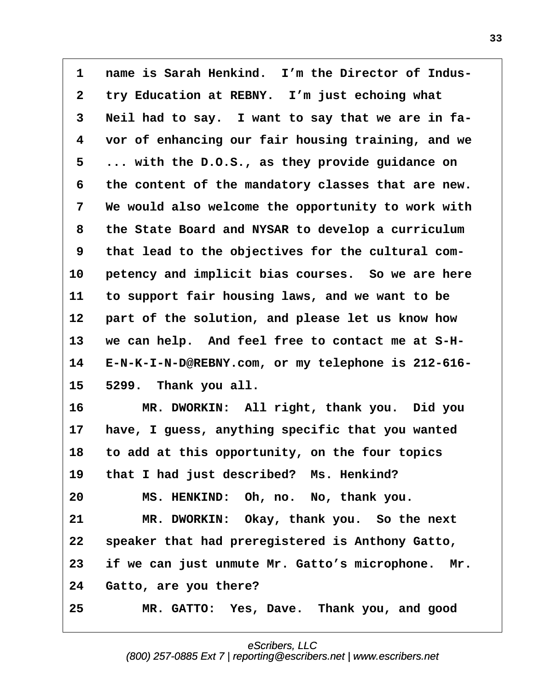**·1· ·name is Sarah Henkind.· I'm the Director of Indus-** 2 try Education at REBNY. I'm just echoing what **·3· ·Neil had to say.· I want to say that we are in fa- ·4· ·vor of enhancing our fair housing training, and we ·5· ·... with the D.O.S., as they provide guidance on ·6· ·the content of the mandatory classes that are new. ·7· ·We would also welcome the opportunity to work with ·8· ·the State Board and NYSAR to develop a curriculum ·9· ·that lead to the objectives for the cultural com-**10 **petency and implicit bias courses.** So we are here **11· ·to support fair housing laws, and we want to be** 12 **part of the solution, and please let us know how** 13 we can help. And feel free to contact me at S-H-**14· ·E-N-K-I-N-D@REBNY.com, or my telephone is 212-616- 15· ·5299.· Thank you all.** 16 **MR. DWORKIN:** All right, thank you. Did you **17· ·have, I guess, anything specific that you wanted 18· ·to add at this opportunity, on the four topics** 19 that I had just described? Ms. Henkind? **20· · · · MS. HENKIND:· Oh, no.· No, thank you. 21· · · · MR. DWORKIN:· Okay, thank you.· So the next 22· ·speaker that had preregistered is Anthony Gatto, 23· ·if we can just unmute Mr. Gatto's microphone.· Mr.** 24 Gatto, are you there?

**25· · · · MR. GATTO:· Yes, Dave.· Thank you, and good**

eScribers, LLC [\(800\) 257-0885 Ext 7 | reporting@escribers.net | www.escribers.net](http://www.escribers.net)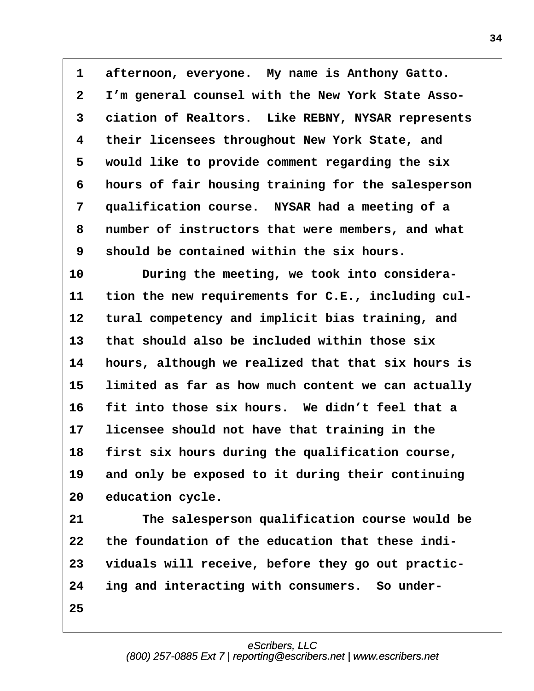**·1· ·afternoon, everyone.· My name is Anthony Gatto. ·2· ·I'm general counsel with the New York State Asso- ·3· ·ciation of Realtors.· Like REBNY, NYSAR represents ·4· ·their licensees throughout New York State, and ·5· ·would like to provide comment regarding the six ·6· ·hours of fair housing training for the salesperson ·7· ·qualification course.· NYSAR had a meeting of a ·8· ·number of instructors that were members, and what ·9· ·should be contained within the six hours.**

10 **During the meeting, we took into considera-**11 tion the new requirements for C.E., including cul-12 tural competency and implicit bias training, and **13· ·that should also be included within those six 14· ·hours, although we realized that that six hours is** 15 limited as far as how much content we can actually **16· ·fit into those six hours.· We didn't feel that a** 17 licensee should not have that training in the 18 first six hours during the qualification course, 19 and only be exposed to it during their continuing 20 education cycle.

21 The salesperson qualification course would be **22· ·the foundation of the education that these indi-23· ·viduals will receive, before they go out practic-**24 ing and interacting with consumers. So under-**25**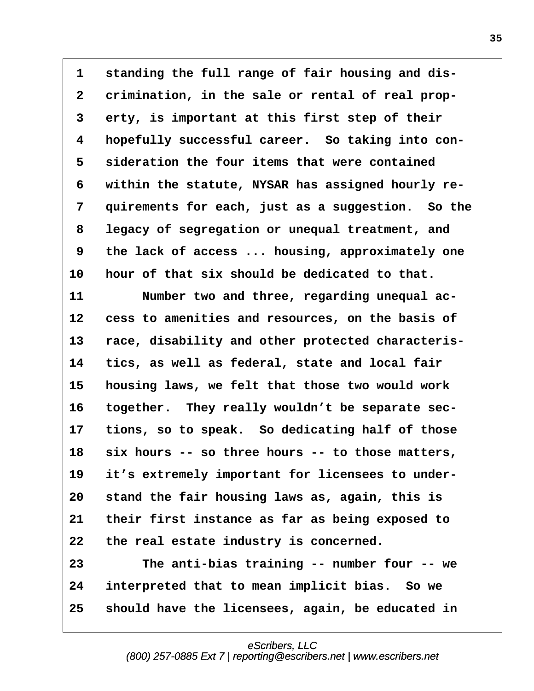**·1· ·standing the full range of fair housing and dis- ·2· ·crimination, in the sale or rental of real prop- ·3· ·erty, is important at this first step of their ·4· ·hopefully successful career.· So taking into con- ·5· ·sideration the four items that were contained ·6· ·within the statute, NYSAR has assigned hourly re- ·7· ·quirements for each, just as a suggestion.· So the ·8· ·legacy of segregation or unequal treatment, and ·9· ·the lack of access ... housing, approximately one 10· ·hour of that six should be dedicated to that.** 11 **· · Number two and three, regarding unequal ac-**12 **cess to amenities and resources, on the basis of** 13 race, disability and other protected characteris-**14· ·tics, as well as federal, state and local fair 15· ·housing laws, we felt that those two would work** 16 together. They really wouldn't be separate sec-**17· ·tions, so to speak.· So dedicating half of those 18· ·six hours -- so three hours -- to those matters,** 19 it's extremely important for licensees to under-**20· ·stand the fair housing laws as, again, this is 21· ·their first instance as far as being exposed to** 22 the real estate industry is concerned. **23· · · · The anti-bias training -- number four -- we 24· ·interpreted that to mean implicit bias.· So we**

**25· ·should have the licensees, again, be educated in**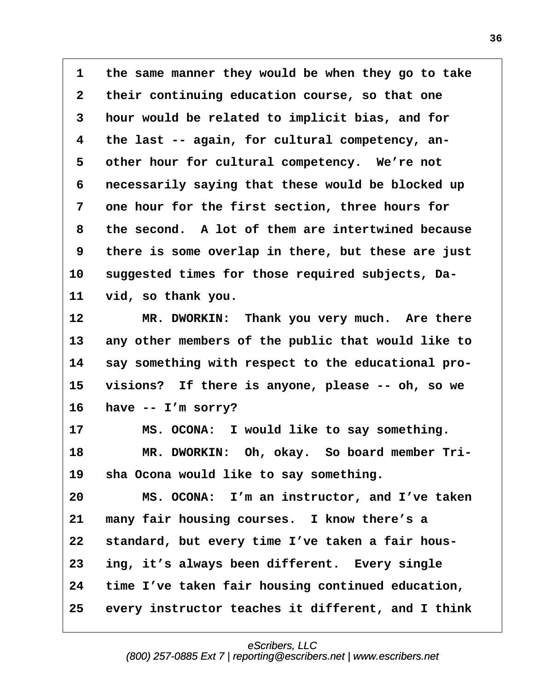1 the same manner they would be when they go to take **·2· ·their continuing education course, so that one ·3· ·hour would be related to implicit bias, and for ·4· ·the last -- again, for cultural competency, an-** 5 other hour for cultural competency. We're not **·6· ·necessarily saying that these would be blocked up ·7· ·one hour for the first section, three hours for ·8· ·the second.· A lot of them are intertwined because ·9· ·there is some overlap in there, but these are just** 10 suggested times for those required subjects, Da-**11· ·vid, so thank you.**

12 MR. DWORKIN: Thank you very much. Are there 13 any other members of the public that would like to 14 say something with respect to the educational pro-**15· ·visions?· If there is anyone, please -- oh, so we 16· ·have -- I'm sorry?**

17 MS. OCONA: I would like to say something. 18 MR. DWORKIN: Oh, okay. So board member Tri-19 sha Ocona would like to say something.

**20· · · · MS. OCONA:· I'm an instructor, and I've taken** 21 many fair housing courses. I know there's a **22· ·standard, but every time I've taken a fair hous-23· ·ing, it's always been different.· Every single 24· ·time I've taken fair housing continued education,** 25 every instructor teaches it different, and I think

> eScribers, LLC [\(800\) 257-0885 Ext 7 | reporting@escribers.net | www.escribers.net](http://www.escribers.net)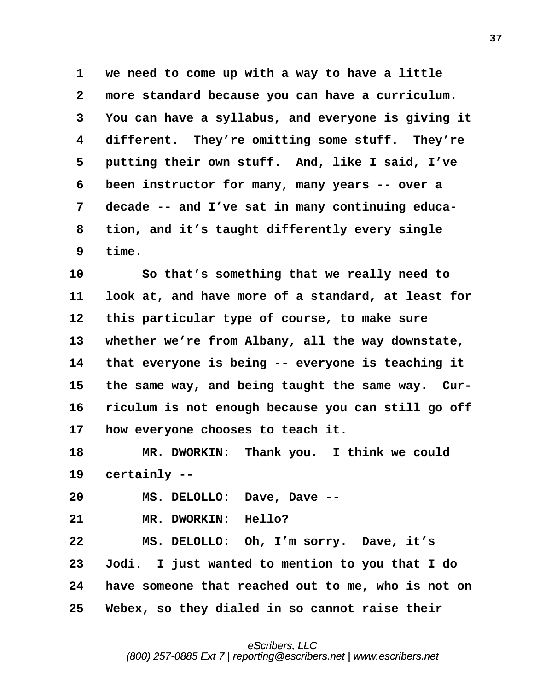**·1· ·we need to come up with a way to have a little ·2· ·more standard because you can have a curriculum. ·3· ·You can have a syllabus, and everyone is giving it** 4 different. They're omitting some stuff. They're **·5· ·putting their own stuff.· And, like I said, I've ·6· ·been instructor for many, many years -- over a ·7· ·decade -- and I've sat in many continuing educa- ·8· ·tion, and it's taught differently every single ·9· ·time.**

**10· · · · So that's something that we really need to 11· ·look at, and have more of a standard, at least for** 12 this particular type of course, to make sure 13 whether we're from Albany, all the way downstate, 14 that everyone is being -- everyone is teaching it 15 the same way, and being taught the same way. Cur-16 riculum is not enough because you can still go off 17 **how everyone chooses to teach it.** 

**18· · · · MR. DWORKIN:· Thank you.· I think we could** 19 certainly --

**20· · · · MS. DELOLLO:· Dave, Dave --**

21 MR. DWORKIN: Hello?

**22· · · · MS. DELOLLO:· Oh, I'm sorry.· Dave, it's 23· ·Jodi.· I just wanted to mention to you that I do 24· ·have someone that reached out to me, who is not on 25· ·Webex, so they dialed in so cannot raise their**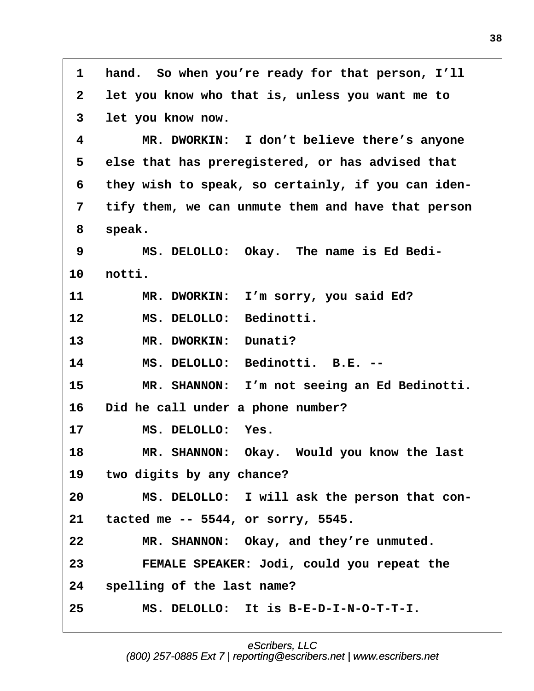**·1· ·hand.· So when you're ready for that person, I'll ·2· ·let you know who that is, unless you want me to ·3· ·let you know now. ·4· · · · MR. DWORKIN:· I don't believe there's anyone ·5· ·else that has preregistered, or has advised that ·6· ·they wish to speak, so certainly, if you can iden- ·7· ·tify them, we can unmute them and have that person ·8· ·speak. ·9· · · · MS. DELOLLO:· Okay.· The name is Ed Bedi-10· ·notti.** 11 MR. DWORKIN: I'm sorry, you said Ed? 12 MS. DELOLLO: Bedinotti. 13 MR. DWORKIN: Dunati? **14· · · · MS. DELOLLO:· Bedinotti.· B.E. -- 15· · · · MR. SHANNON:· I'm not seeing an Ed Bedinotti.** 16 Did he call under a phone number? 17 MS. DELOLLO: Yes. 18 **MR. SHANNON:** Okay. Would you know the last 19 two digits by any chance? **20· · · · MS. DELOLLO:· I will ask the person that con-21· ·tacted me -- 5544, or sorry, 5545.** 22 MR. SHANNON: Okay, and they're unmuted. **23· · · · FEMALE SPEAKER: Jodi, could you repeat the 24· ·spelling of the last name? 25· · · · MS. DELOLLO:· It is B-E-D-I-N-O-T-T-I.**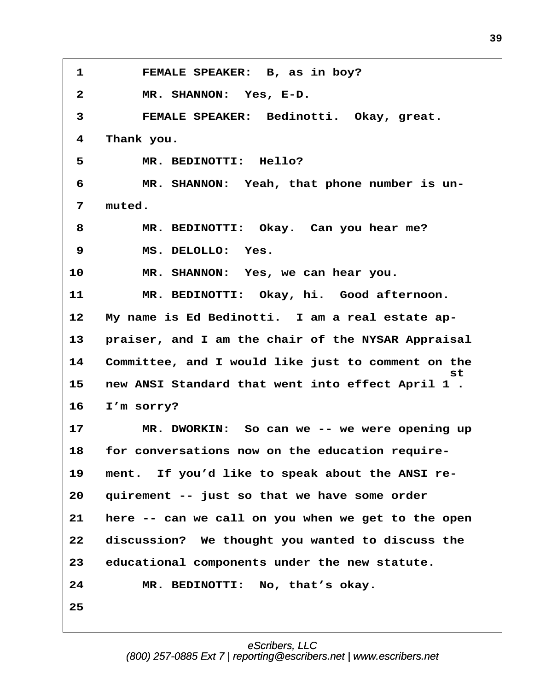1 **FEMALE SPEAKER:** B, as in boy? **·2· · · · MR. SHANNON:· Yes, E-D.** 3 **· · · · FEMALE SPEAKER:** Bedinotti. Okay, great. **·4· ·Thank you.** 5 **MR. BEDINOTTI: Hello? ·6· · · · MR. SHANNON:· Yeah, that phone number is un- ·7· ·muted. ·8· · · · MR. BEDINOTTI:· Okay.· Can you hear me? ·9· · · · MS. DELOLLO:· Yes.** 10 MR. SHANNON: Yes, we can hear you. **11· · · · MR. BEDINOTTI:· Okay, hi.· Good afternoon.** 12 My name is Ed Bedinotti. I am a real estate ap-13 **· praiser, and I am the chair of the NYSAR Appraisal 14· ·Committee, and I would like just to comment on the**  $\mathbf s$ t  $\mathbf s$ **15· ·new ANSI Standard that went into effect April 1 .** 16 I'm sorry? **17· · · · MR. DWORKIN:· So can we -- we were opening up** 18 for conversations now on the education require-19 ment. If you'd like to speak about the ANSI re-**20· ·quirement -- just so that we have some order 21· ·here -- can we call on you when we get to the open 22· ·discussion?· We thought you wanted to discuss the 23· ·educational components under the new statute.** 24 MR. BEDINOTTI: No, that's okay. **25**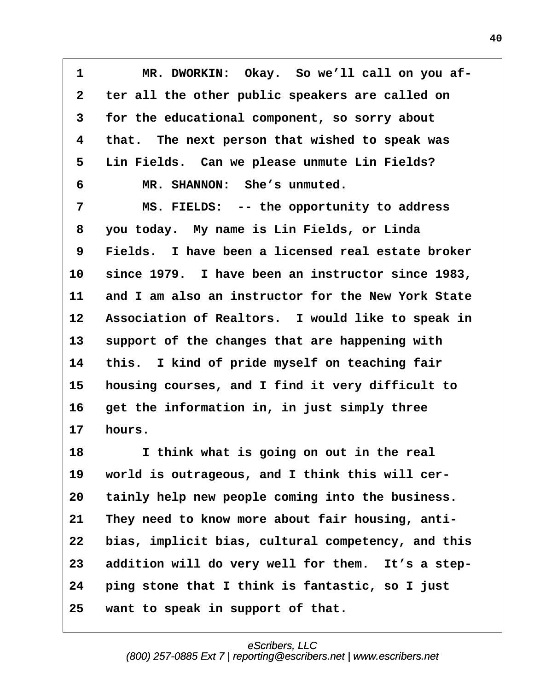**·1· · · · MR. DWORKIN:· Okay.· So we'll call on you af- ·2· ·ter all the other public speakers are called on ·3· ·for the educational component, so sorry about ·4· ·that.· The next person that wished to speak was ·5· ·Lin Fields.· Can we please unmute Lin Fields? ·6· · · · MR. SHANNON:· She's unmuted.** 7 MS. FIELDS: -- the opportunity to address **·8· ·you today.· My name is Lin Fields, or Linda ·9· ·Fields.· I have been a licensed real estate broker 10· ·since 1979.· I have been an instructor since 1983, 11· ·and I am also an instructor for the New York State** 12 Association of Realtors. I would like to speak in 13 support of the changes that are happening with **14· ·this.· I kind of pride myself on teaching fair 15· ·housing courses, and I find it very difficult to** 16 get the information in, in just simply three **17· ·hours.** 18 **I** think what is going on out in the real 19 world is outrageous, and I think this will cer-20 tainly help new people coming into the business. 21 They need to know more about fair housing, anti-22 bias, implicit bias, cultural competency, and this 23 addition will do very well for them. It's a step-**24· ·ping stone that I think is fantastic, so I just 25· ·want to speak in support of that.**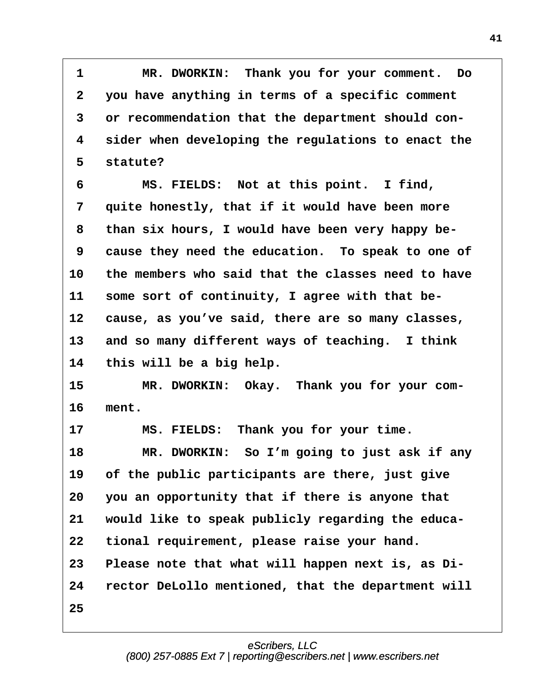**·1· · · · MR. DWORKIN:· Thank you for your comment.· Do ·2· ·you have anything in terms of a specific comment ·3· ·or recommendation that the department should con- ·4· ·sider when developing the regulations to enact the** 5 statute?

**·6· · · · MS. FIELDS:· Not at this point.· I find,** 7 **quite honestly, that if it would have been more ·8· ·than six hours, I would have been very happy be- ·9· ·cause they need the education.· To speak to one of 10· ·the members who said that the classes need to have** 11 some sort of continuity, I agree with that be-12 **cause, as you've said, there are so many classes,** 13 and so many different ways of teaching. I think 14 this will be a big help.

15 MR. DWORKIN: Okay. Thank you for your com-**16· ·ment.**

17 MS. FIELDS: Thank you for your time. 18 **MR. DWORKIN:** So I'm going to just ask if any 19 of the public participants are there, just give **20· ·you an opportunity that if there is anyone that** 21 would like to speak publicly regarding the educa-22 tional requirement, please raise your hand. **23· ·Please note that what will happen next is, as Di-24· ·rector DeLollo mentioned, that the department will 25**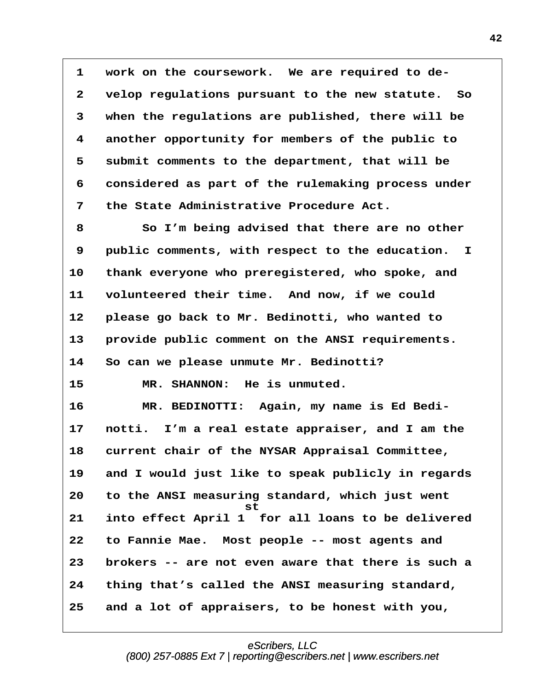**·1· ·work on the coursework.· We are required to de- ·2· ·velop regulations pursuant to the new statute.· So ·3· ·when the regulations are published, there will be ·4· ·another opportunity for members of the public to ·5· ·submit comments to the department, that will be ·6· ·considered as part of the rulemaking process under ·7· ·the State Administrative Procedure Act.**

**·8· · · · So I'm being advised that there are no other ·9· ·public comments, with respect to the education. I** 10 thank everyone who preregistered, who spoke, and **11· ·volunteered their time.· And now, if we could 12· ·please go back to Mr. Bedinotti, who wanted to** 13 · provide public comment on the ANSI requirements. **14· ·So can we please unmute Mr. Bedinotti?**

15 MR. SHANNON: He is unmuted.

16 MR. BEDINOTTI: Again, my name is Ed Bedi-**17· ·notti.· I'm a real estate appraiser, and I am the** 18 current chair of the NYSAR Appraisal Committee, **19· ·and I would just like to speak publicly in regards 20· ·to the ANSI measuring standard, which just went · · · · · · · · · · · · st 21· ·into effect April 1· for all loans to be delivered 22· ·to Fannie Mae.· Most people -- most agents and 23· ·brokers -- are not even aware that there is such a 24· ·thing that's called the ANSI measuring standard, 25· ·and a lot of appraisers, to be honest with you,**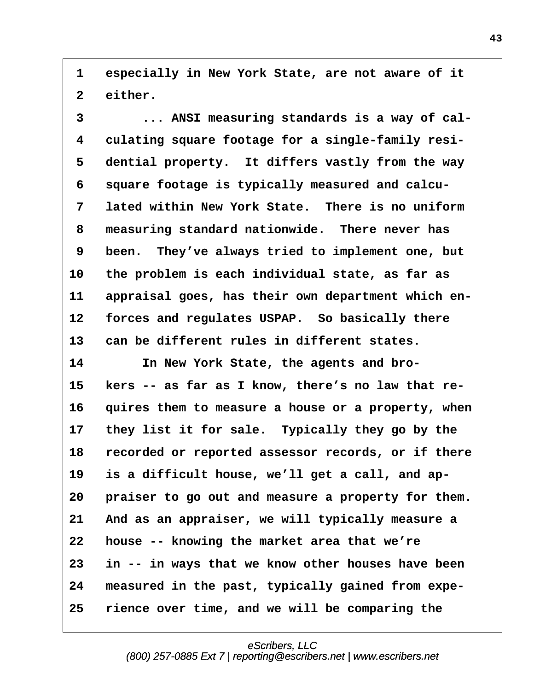**·1· ·especially in New York State, are not aware of it** 2 either.

**·3· · · · ... ANSI measuring standards is a way of cal- ·4· ·culating square footage for a single-family resi-** 5 dential property. It differs vastly from the way **·6· ·square footage is typically measured and calcu- ·7· ·lated within New York State.· There is no uniform ·8· ·measuring standard nationwide.· There never has ·9· ·been.· They've always tried to implement one, but 10· ·the problem is each individual state, as far as** 11 appraisal goes, has their own department which en-12 forces and regulates USPAP. So basically there 13 can be different rules in different states.

14 **In New York State, the agents and bro-**15 kers -- as far as I know, there's no law that re-**16· ·quires them to measure a house or a property, when 17· ·they list it for sale.· Typically they go by the** 18 recorded or reported assessor records, or if there 19 is a difficult house, we'll get a call, and ap-20 **praiser to go out and measure a property for them. 21· ·And as an appraiser, we will typically measure a 22· ·house -- knowing the market area that we're 23· ·in -- in ways that we know other houses have been** 24 measured in the past, typically gained from expe-**25· ·rience over time, and we will be comparing the**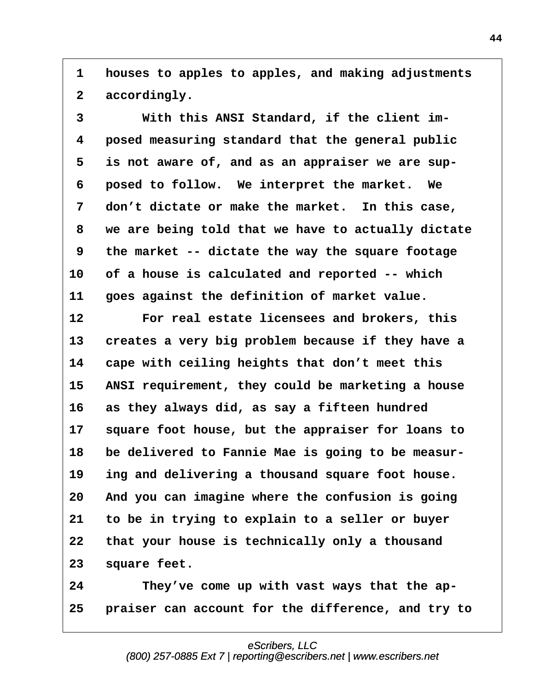**·1· ·houses to apples to apples, and making adjustments** 2 accordingly.

**·3· · · · With this ANSI Standard, if the client im- ·4· ·posed measuring standard that the general public ·5· ·is not aware of, and as an appraiser we are sup- ·6· ·posed to follow.· We interpret the market.· We** 7 don't dictate or make the market. In this case, **·8· ·we are being told that we have to actually dictate ·9· ·the market -- dictate the way the square footage 10· ·of a house is calculated and reported -- which 11· ·goes against the definition of market value.**

**12· · · · For real estate licensees and brokers, this** 13 creates a very big problem because if they have a **14· ·cape with ceiling heights that don't meet this** 15 ANSI requirement, they could be marketing a house **16· ·as they always did, as say a fifteen hundred** 17 square foot house, but the appraiser for loans to **18· ·be delivered to Fannie Mae is going to be measur-**19 ing and delivering a thousand square foot house. **20· ·And you can imagine where the confusion is going 21· ·to be in trying to explain to a seller or buyer 22· ·that your house is technically only a thousand** 23 square feet.

24 They've come up with vast ways that the ap-**25· ·praiser can account for the difference, and try to**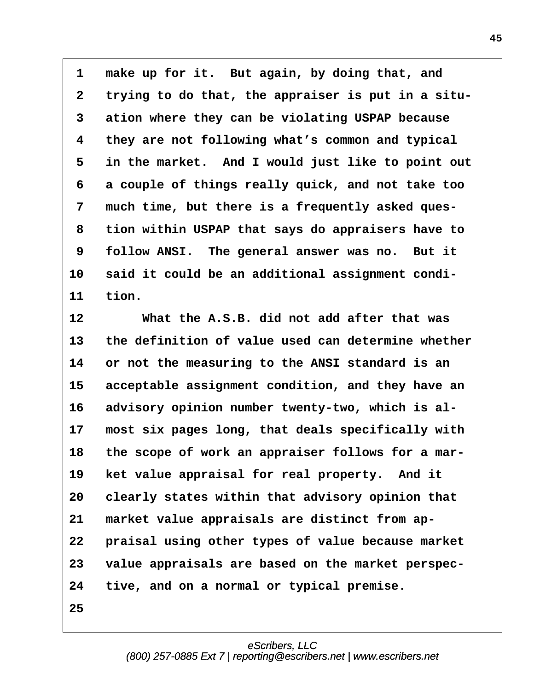1 make up for it. But again, by doing that, and **·2· ·trying to do that, the appraiser is put in a situ- ·3· ·ation where they can be violating USPAP because ·4· ·they are not following what's common and typical ·5· ·in the market.· And I would just like to point out ·6· ·a couple of things really quick, and not take too ·7· ·much time, but there is a frequently asked ques- ·8· ·tion within USPAP that says do appraisers have to ·9· ·follow ANSI.· The general answer was no.· But it** 10 said it could be an additional assignment condi-11 **tion.** 

**12· · · · What the A.S.B. did not add after that was** 13 the definition of value used can determine whether **14· ·or not the measuring to the ANSI standard is an** 15 acceptable assignment condition, and they have an 16 advisory opinion number twenty-two, which is al-17 most six pages long, that deals specifically with 18 the scope of work an appraiser follows for a mar-19 ket value appraisal for real property. And it **20· ·clearly states within that advisory opinion that** 21 market value appraisals are distinct from ap-22 **praisal using other types of value because market 23· ·value appraisals are based on the market perspec-24· ·tive, and on a normal or typical premise.**

**25**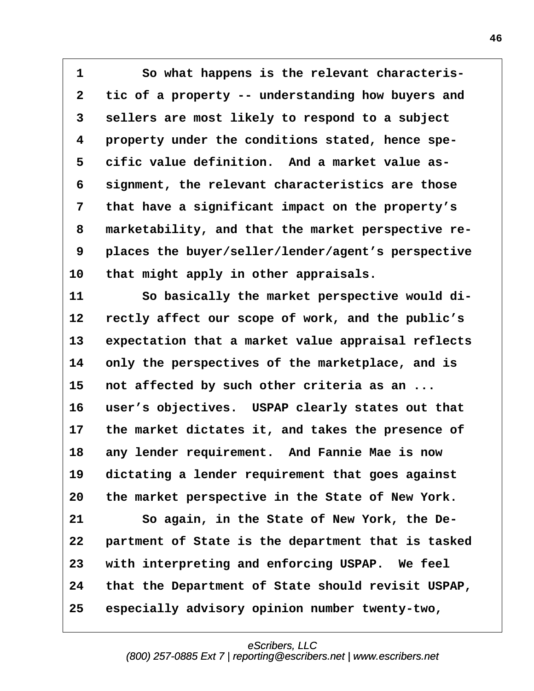1 **· · · · So what happens is the relevant characteris-·2· ·tic of a property -- understanding how buyers and ·3· ·sellers are most likely to respond to a subject ·4· ·property under the conditions stated, hence spe- ·5· ·cific value definition.· And a market value as- ·6· ·signment, the relevant characteristics are those ·7· ·that have a significant impact on the property's ·8· ·marketability, and that the market perspective re- ·9· ·places the buyer/seller/lender/agent's perspective** 10 that might apply in other appraisals.

11 So basically the market perspective would di-**12· ·rectly affect our scope of work, and the public's** 13 expectation that a market value appraisal reflects **14· ·only the perspectives of the marketplace, and is** 15 not affected by such other criteria as an ... 16 user's objectives. USPAP clearly states out that 17 the market dictates it, and takes the presence of **18· ·any lender requirement.· And Fannie Mae is now** 19 dictating a lender requirement that goes against **20· ·the market perspective in the State of New York.** 21 So again, in the State of New York, the De-22 **partment of State is the department that is tasked 23· ·with interpreting and enforcing USPAP.· We feel 24· ·that the Department of State should revisit USPAP, 25· ·especially advisory opinion number twenty-two,**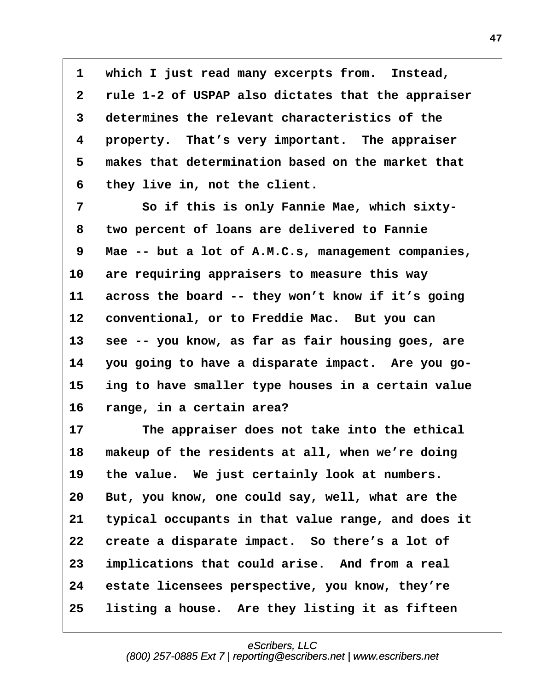**·1· ·which I just read many excerpts from.· Instead, ·2· ·rule 1-2 of USPAP also dictates that the appraiser ·3· ·determines the relevant characteristics of the ·4· ·property.· That's very important.· The appraiser ·5· ·makes that determination based on the market that ·6· ·they live in, not the client.**

**·7· · · · So if this is only Fannie Mae, which sixty- ·8· ·two percent of loans are delivered to Fannie ·9· ·Mae -- but a lot of A.M.C.s, management companies, 10· ·are requiring appraisers to measure this way** 11 across the board -- they won't know if it's going 12 conventional, or to Freddie Mac. But you can 13 **see -- you know, as far as fair housing goes, are** 14 you going to have a disparate impact. Are you go-**15· ·ing to have smaller type houses in a certain value 16· ·range, in a certain area?**

17 The appraiser does not take into the ethical 18 makeup of the residents at all, when we're doing 19 the value. We just certainly look at numbers. 20 But, you know, one could say, well, what are the **21· ·typical occupants in that value range, and does it** 22 create a disparate impact. So there's a lot of **23· ·implications that could arise.· And from a real 24· ·estate licensees perspective, you know, they're** 25 listing a house. Are they listing it as fifteen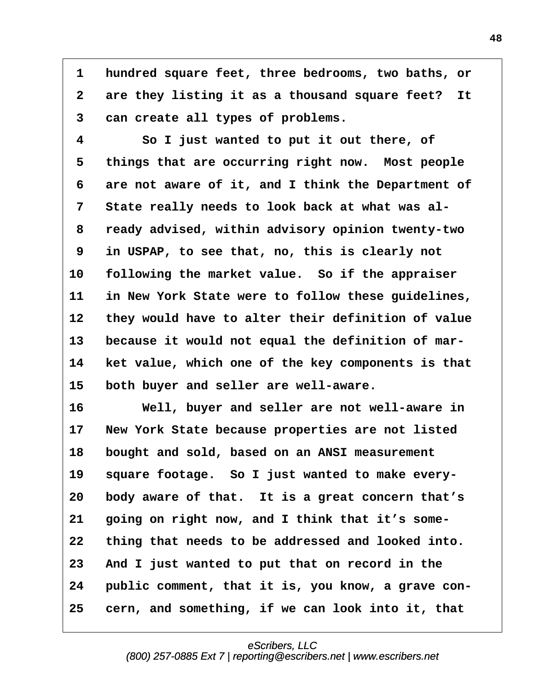**·1· ·hundred square feet, three bedrooms, two baths, or** 2 are they listing it as a thousand square feet? It **·3· ·can create all types of problems.**

**·4· · · · So I just wanted to put it out there, of** 5 things that are occurring right now. Most people **·6· ·are not aware of it, and I think the Department of ·7· ·State really needs to look back at what was al- ·8· ·ready advised, within advisory opinion twenty-two ·9· ·in USPAP, to see that, no, this is clearly not** 10 following the market value. So if the appraiser **11· ·in New York State were to follow these guidelines,** 12 they would have to alter their definition of value **13· ·because it would not equal the definition of mar-14· ·ket value, which one of the key components is that** 15 both buyer and seller are well-aware.

**16· · · · Well, buyer and seller are not well-aware in 17· ·New York State because properties are not listed 18· ·bought and sold, based on an ANSI measurement** 19 square footage. So I just wanted to make every-**20· ·body aware of that.· It is a great concern that's 21· ·going on right now, and I think that it's some-22· ·thing that needs to be addressed and looked into. 23· ·And I just wanted to put that on record in the** 24 public comment, that it is, you know, a grave con-**25· ·cern, and something, if we can look into it, that**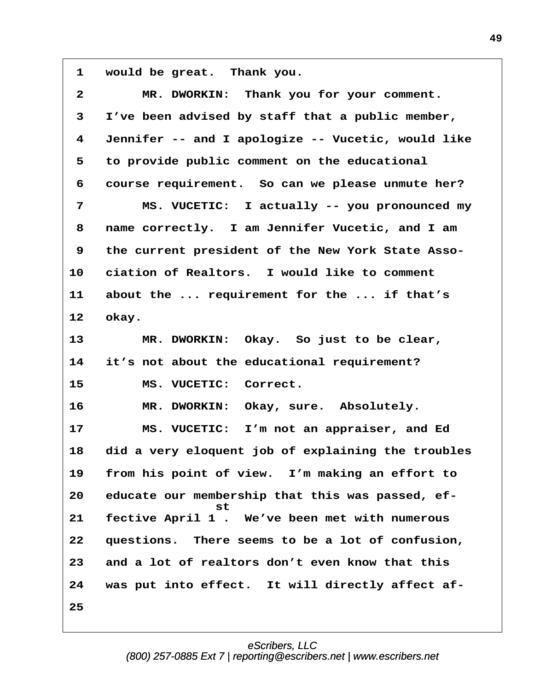1 would be great. Thank you.

| $\mathbf{2}$ | MR. DWORKIN: Thank you for your comment.               |
|--------------|--------------------------------------------------------|
| 3            | I've been advised by staff that a public member,       |
| 4            | Jennifer -- and I apologize -- Vucetic, would like     |
| 5            | to provide public comment on the educational           |
| 6            | course requirement. So can we please unmute her?       |
| 7            | MS. VUCETIC: I actually -- you pronounced my           |
| 8            | name correctly. I am Jennifer Vucetic, and I am        |
| 9            | the current president of the New York State Asso-      |
| 10           | ciation of Realtors. I would like to comment           |
| 11           | about the  requirement for the  if that's              |
| 12           | okay.                                                  |
| 13           | MR. DWORKIN: Okay. So just to be clear,                |
| 14           | it's not about the educational requirement?            |
| 15           | MS. VUCETIC: Correct.                                  |
| 16           | MR. DWORKIN: Okay, sure. Absolutely.                   |
| 17           | MS. VUCETIC: I'm not an appraiser, and Ed              |
| 18           | did a very eloquent job of explaining the troubles     |
| 19           | from his point of view. I'm making an effort to        |
| 20           | educate our membership that this was passed, ef-<br>st |
| 21           | fective April 1. We've been met with numerous          |
| 22           | questions. There seems to be a lot of confusion,       |
| 23           | and a lot of realtors don't even know that this        |
| 24           | was put into effect. It will directly affect af-       |
| 25           |                                                        |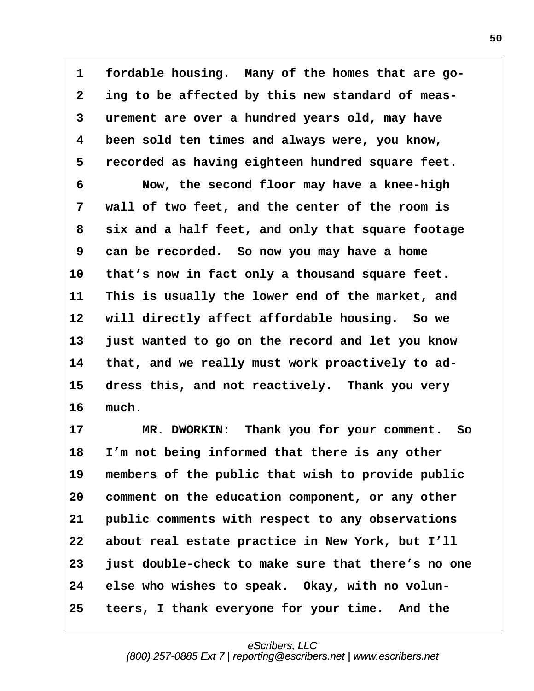**·1· ·fordable housing.· Many of the homes that are go- ·2· ·ing to be affected by this new standard of meas- ·3· ·urement are over a hundred years old, may have ·4· ·been sold ten times and always were, you know, ·5· ·recorded as having eighteen hundred square feet. ·6· · · · Now, the second floor may have a knee-high ·7· ·wall of two feet, and the center of the room is ·8· ·six and a half feet, and only that square footage ·9· ·can be recorded.· So now you may have a home** 10 that's now in fact only a thousand square feet. **11· ·This is usually the lower end of the market, and** 12 will directly affect affordable housing. So we **13· ·just wanted to go on the record and let you know** 14 that, and we really must work proactively to ad-15 dress this, and not reactively. Thank you very 16 much.

**17· · · · MR. DWORKIN:· Thank you for your comment.· So** 18 I'm not being informed that there is any other 19 members of the public that wish to provide public **20· ·comment on the education component, or any other** 21 **public comments with respect to any observations 22· ·about real estate practice in New York, but I'll 23· ·just double-check to make sure that there's no one** 24 else who wishes to speak. Okay, with no volun-**25· ·teers, I thank everyone for your time.· And the**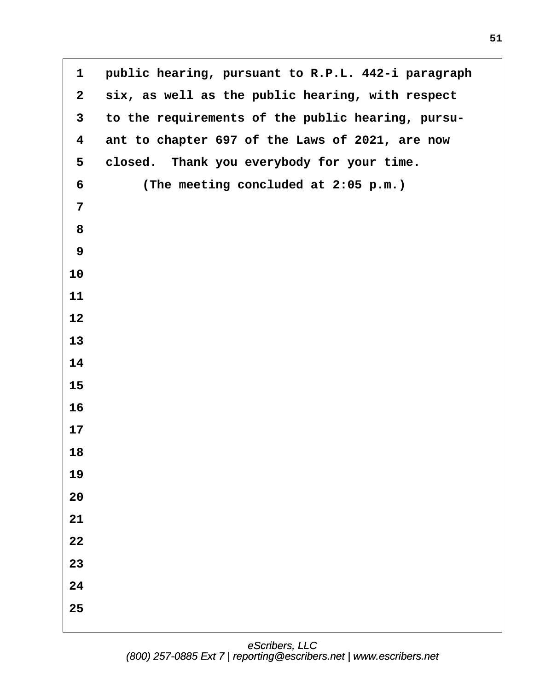| $\mathbf{1}$            | public hearing, pursuant to R.P.L. 442-i paragraph |
|-------------------------|----------------------------------------------------|
| $\mathbf{2}$            | six, as well as the public hearing, with respect   |
| $\mathbf{3}$            | to the requirements of the public hearing, pursu-  |
| $\overline{\mathbf{4}}$ | ant to chapter 697 of the Laws of 2021, are now    |
| 5                       | closed. Thank you everybody for your time.         |
| 6                       | (The meeting concluded at 2:05 p.m.)               |
| $\overline{7}$          |                                                    |
| 8                       |                                                    |
| 9                       |                                                    |
| 10                      |                                                    |
| 11                      |                                                    |
| 12                      |                                                    |
| 13                      |                                                    |
| 14                      |                                                    |
| 15                      |                                                    |
| 16                      |                                                    |
| 17                      |                                                    |
| 18                      |                                                    |
| 19                      |                                                    |
| 20                      |                                                    |
| 21                      |                                                    |
| $\bf{22}$               |                                                    |
| 23                      |                                                    |
| 24                      |                                                    |
| 25                      |                                                    |